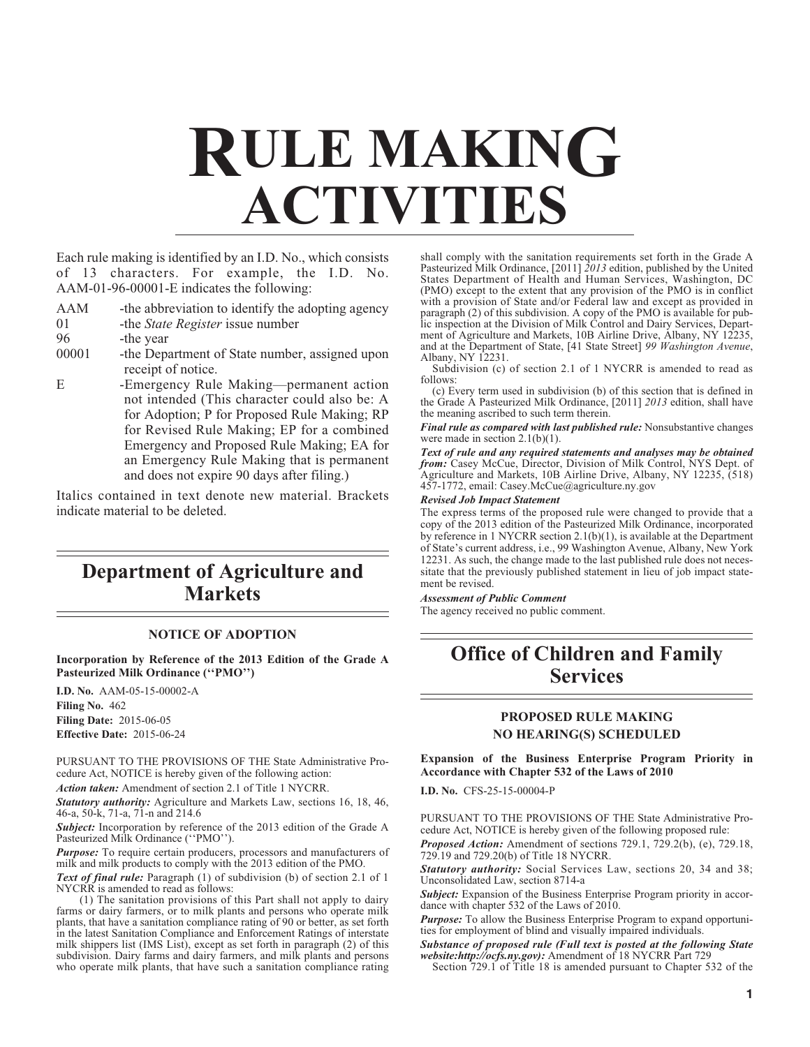# **RULE MAKING ACTIVITIES**

Each rule making is identified by an I.D. No., which consists of 13 characters. For example, the I.D. No. AAM-01-96-00001-E indicates the following:

- AAM -the abbreviation to identify the adopting agency
- 01 -the *State Register* issue number
- 96 -the year

00001 -the Department of State number, assigned upon receipt of notice.

E -Emergency Rule Making—permanent action not intended (This character could also be: A for Adoption; P for Proposed Rule Making; RP for Revised Rule Making; EP for a combined Emergency and Proposed Rule Making; EA for an Emergency Rule Making that is permanent and does not expire 90 days after filing.)

Italics contained in text denote new material. Brackets indicate material to be deleted.

# **Department of Agriculture and Markets**

## **NOTICE OF ADOPTION**

**Incorporation by Reference of the 2013 Edition of the Grade A Pasteurized Milk Ordinance (''PMO'')**

**I.D. No.** AAM-05-15-00002-A **Filing No.** 462 **Filing Date:** 2015-06-05 **Effective Date:** 2015-06-24

PURSUANT TO THE PROVISIONS OF THE State Administrative Procedure Act, NOTICE is hereby given of the following action:

*Action taken:* Amendment of section 2.1 of Title 1 NYCRR.

*Statutory authority:* Agriculture and Markets Law, sections 16, 18, 46, 46-a, 50-k, 71-a, 71-n and 214.6

*Subject:* Incorporation by reference of the 2013 edition of the Grade A Pasteurized Milk Ordinance (''PMO'').

**Purpose:** To require certain producers, processors and manufacturers of milk and milk products to comply with the 2013 edition of the PMO.

*Text of final rule:* Paragraph (1) of subdivision (b) of section 2.1 of 1 NYCRR is amended to read as follows:

(1) The sanitation provisions of this Part shall not apply to dairy farms or dairy farmers, or to milk plants and persons who operate milk plants, that have a sanitation compliance rating of 90 or better, as set forth in the latest Sanitation Compliance and Enforcement Ratings of interstate milk shippers list (IMS List), except as set forth in paragraph (2) of this subdivision. Dairy farms and dairy farmers, and milk plants and persons who operate milk plants, that have such a sanitation compliance rating

shall comply with the sanitation requirements set forth in the Grade A Pasteurized Milk Ordinance, [2011] *2013* edition, published by the United States Department of Health and Human Services, Washington, DC (PMO) except to the extent that any provision of the PMO is in conflict with a provision of State and/or Federal law and except as provided in paragraph (2) of this subdivision. A copy of the PMO is available for public inspection at the Division of Milk Control and Dairy Services, Department of Agriculture and Markets, 10B Airline Drive, Albany, NY 12235, and at the Department of State, [41 State Street] *99 Washington Avenue*, Albany, NY 12231.

Subdivision (c) of section 2.1 of 1 NYCRR is amended to read as follows:

(c) Every term used in subdivision (b) of this section that is defined in the Grade A Pasteurized Milk Ordinance, [2011] *2013* edition, shall have the meaning ascribed to such term therein.

#### *Final rule as compared with last published rule:* Nonsubstantive changes were made in section 2.1(b)(1).

*Text of rule and any required statements and analyses may be obtained from:* Casey McCue, Director, Division of Milk Control, NYS Dept. of Agriculture and Markets, 10B Airline Drive, Albany, NY 12235, (518) 457-1772, email: Casey.McCue@agriculture.ny.gov

# *Revised Job Impact Statement*

The express terms of the proposed rule were changed to provide that a copy of the 2013 edition of the Pasteurized Milk Ordinance, incorporated by reference in 1 NYCRR section 2.1(b)(1), is available at the Department of State's current address, i.e., 99 Washington Avenue, Albany, New York 12231. As such, the change made to the last published rule does not necessitate that the previously published statement in lieu of job impact statement be revised.

*Assessment of Public Comment*

The agency received no public comment.

# **Office of Children and Family Services**

# **PROPOSED RULE MAKING NO HEARING(S) SCHEDULED**

**Expansion of the Business Enterprise Program Priority in Accordance with Chapter 532 of the Laws of 2010**

**I.D. No.** CFS-25-15-00004-P

PURSUANT TO THE PROVISIONS OF THE State Administrative Procedure Act, NOTICE is hereby given of the following proposed rule:

*Proposed Action:* Amendment of sections 729.1, 729.2(b), (e), 729.18, 729.19 and 729.20(b) of Title 18 NYCRR.

*Statutory authority:* Social Services Law, sections 20, 34 and 38; Unconsolidated Law, section 8714-a

**Subject:** Expansion of the Business Enterprise Program priority in accordance with chapter 532 of the Laws of 2010.

*Purpose:* To allow the Business Enterprise Program to expand opportunities for employment of blind and visually impaired individuals.

*Substance of proposed rule (Full text is posted at the following State website:http://ocfs.ny.gov):* Amendment of 18 NYCRR Part 729

Section 729.1 of Title 18 is amended pursuant to Chapter 532 of the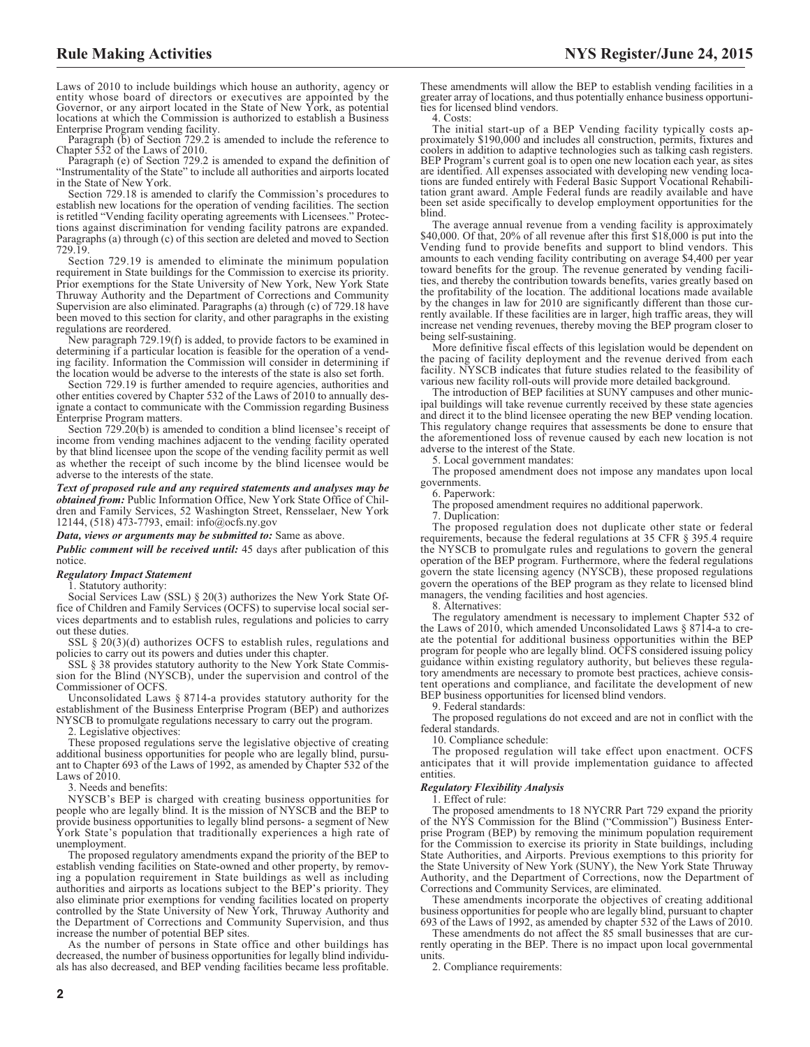Laws of 2010 to include buildings which house an authority, agency or entity whose board of directors or executives are appointed by the Governor, or any airport located in the State of New York, as potential locations at which the Commission is authorized to establish a Business Enterprise Program vending facility. Paragraph (b) of Section 729.2 is amended to include the reference to

Chapter 532 of the Laws of 2010.

Paragraph (e) of Section 729.2 is amended to expand the definition of "Instrumentality of the State" to include all authorities and airports located in the State of New York.

Section 729.18 is amended to clarify the Commission's procedures to establish new locations for the operation of vending facilities. The section is retitled "Vending facility operating agreements with Licensees." Protections against discrimination for vending facility patrons are expanded. Paragraphs (a) through (c) of this section are deleted and moved to Section 729.19.

Section 729.19 is amended to eliminate the minimum population requirement in State buildings for the Commission to exercise its priority. Prior exemptions for the State University of New York, New York State Thruway Authority and the Department of Corrections and Community Supervision are also eliminated. Paragraphs (a) through (c) of 729.18 have been moved to this section for clarity, and other paragraphs in the existing regulations are reordered.

New paragraph 729.19(f) is added, to provide factors to be examined in determining if a particular location is feasible for the operation of a vending facility. Information the Commission will consider in determining if the location would be adverse to the interests of the state is also set forth.

Section 729.19 is further amended to require agencies, authorities and other entities covered by Chapter 532 of the Laws of 2010 to annually designate a contact to communicate with the Commission regarding Business Enterprise Program matters.

Section 729.20(b) is amended to condition a blind licensee's receipt of income from vending machines adjacent to the vending facility operated by that blind licensee upon the scope of the vending facility permit as well as whether the receipt of such income by the blind licensee would be adverse to the interests of the state.

*Text of proposed rule and any required statements and analyses may be obtained from:* Public Information Office, New York State Office of Children and Family Services, 52 Washington Street, Rensselaer, New York 12144, (518) 473-7793, email: [info@ocfs.ny.gov](mailto: info@ocfs.ny.gov)

#### *Data, views or arguments may be submitted to:* Same as above.

*Public comment will be received until:* 45 days after publication of this notice.

#### *Regulatory Impact Statement*

1. Statutory authority:

Social Services Law (SSL) § 20(3) authorizes the New York State Office of Children and Family Services (OCFS) to supervise local social services departments and to establish rules, regulations and policies to carry out these duties.

SSL § 20(3)(d) authorizes OCFS to establish rules, regulations and policies to carry out its powers and duties under this chapter.

SSL § 38 provides statutory authority to the New York State Commission for the Blind (NYSCB), under the supervision and control of the Commissioner of OCFS.

Unconsolidated Laws § 8714-a provides statutory authority for the establishment of the Business Enterprise Program (BEP) and authorizes NYSCB to promulgate regulations necessary to carry out the program.

Legislative objectives:

These proposed regulations serve the legislative objective of creating additional business opportunities for people who are legally blind, pursuant to Chapter 693 of the Laws of 1992, as amended by Chapter 532 of the Laws of 2010.

3. Needs and benefits:

NYSCB's BEP is charged with creating business opportunities for people who are legally blind. It is the mission of NYSCB and the BEP to provide business opportunities to legally blind persons- a segment of New York State's population that traditionally experiences a high rate of unemployment.

The proposed regulatory amendments expand the priority of the BEP to establish vending facilities on State-owned and other property, by removing a population requirement in State buildings as well as including authorities and airports as locations subject to the BEP's priority. They also eliminate prior exemptions for vending facilities located on property controlled by the State University of New York, Thruway Authority and the Department of Corrections and Community Supervision, and thus increase the number of potential BEP sites.

As the number of persons in State office and other buildings has decreased, the number of business opportunities for legally blind individuals has also decreased, and BEP vending facilities became less profitable. These amendments will allow the BEP to establish vending facilities in a greater array of locations, and thus potentially enhance business opportuni-ties for licensed blind vendors.

4. Costs:

The initial start-up of a BEP Vending facility typically costs approximately \$190,000 and includes all construction, permits, fixtures and coolers in addition to adaptive technologies such as talking cash registers. BEP Program's current goal is to open one new location each year, as sites are identified. All expenses associated with developing new vending locations are funded entirely with Federal Basic Support Vocational Rehabilitation grant award. Ample Federal funds are readily available and have been set aside specifically to develop employment opportunities for the blind.

The average annual revenue from a vending facility is approximately \$40,000. Of that, 20% of all revenue after this first \$18,000 is put into the Vending fund to provide benefits and support to blind vendors. This amounts to each vending facility contributing on average \$4,400 per year toward benefits for the group. The revenue generated by vending facilities, and thereby the contribution towards benefits, varies greatly based on the profitability of the location. The additional locations made available by the changes in law for 2010 are significantly different than those currently available. If these facilities are in larger, high traffic areas, they will increase net vending revenues, thereby moving the BEP program closer to being self-sustaining.

More definitive fiscal effects of this legislation would be dependent on the pacing of facility deployment and the revenue derived from each facility. NYSCB indicates that future studies related to the feasibility of various new facility roll-outs will provide more detailed background.

The introduction of BEP facilities at SUNY campuses and other municipal buildings will take revenue currently received by these state agencies and direct it to the blind licensee operating the new BEP vending location. This regulatory change requires that assessments be done to ensure that the aforementioned loss of revenue caused by each new location is not adverse to the interest of the State.

5. Local government mandates:

The proposed amendment does not impose any mandates upon local governments.

6. Paperwork:

The proposed amendment requires no additional paperwork.

7. Duplication:

The proposed regulation does not duplicate other state or federal requirements, because the federal regulations at 35 CFR § 395.4 require the NYSCB to promulgate rules and regulations to govern the general operation of the BEP program. Furthermore, where the federal regulations govern the state licensing agency (NYSCB), these proposed regulations govern the operations of the BEP program as they relate to licensed blind managers, the vending facilities and host agencies.

8. Alternatives:

The regulatory amendment is necessary to implement Chapter 532 of the Laws of 2010, which amended Unconsolidated Laws § 8714-a to create the potential for additional business opportunities within the BEP program for people who are legally blind. OCFS considered issuing policy guidance within existing regulatory authority, but believes these regulatory amendments are necessary to promote best practices, achieve consistent operations and compliance, and facilitate the development of new BEP business opportunities for licensed blind vendors.

9. Federal standards:

The proposed regulations do not exceed and are not in conflict with the federal standards.

10. Compliance schedule:

The proposed regulation will take effect upon enactment. OCFS anticipates that it will provide implementation guidance to affected entities.

#### *Regulatory Flexibility Analysis*

1. Effect of rule:

The proposed amendments to 18 NYCRR Part 729 expand the priority of the NYS Commission for the Blind ("Commission") Business Enterprise Program (BEP) by removing the minimum population requirement for the Commission to exercise its priority in State buildings, including State Authorities, and Airports. Previous exemptions to this priority for the State University of New York (SUNY), the New York State Thruway Authority, and the Department of Corrections, now the Department of Corrections and Community Services, are eliminated.

These amendments incorporate the objectives of creating additional business opportunities for people who are legally blind, pursuant to chapter 693 of the Laws of 1992, as amended by chapter 532 of the Laws of 2010.

These amendments do not affect the 85 small businesses that are currently operating in the BEP. There is no impact upon local governmental units.

2. Compliance requirements: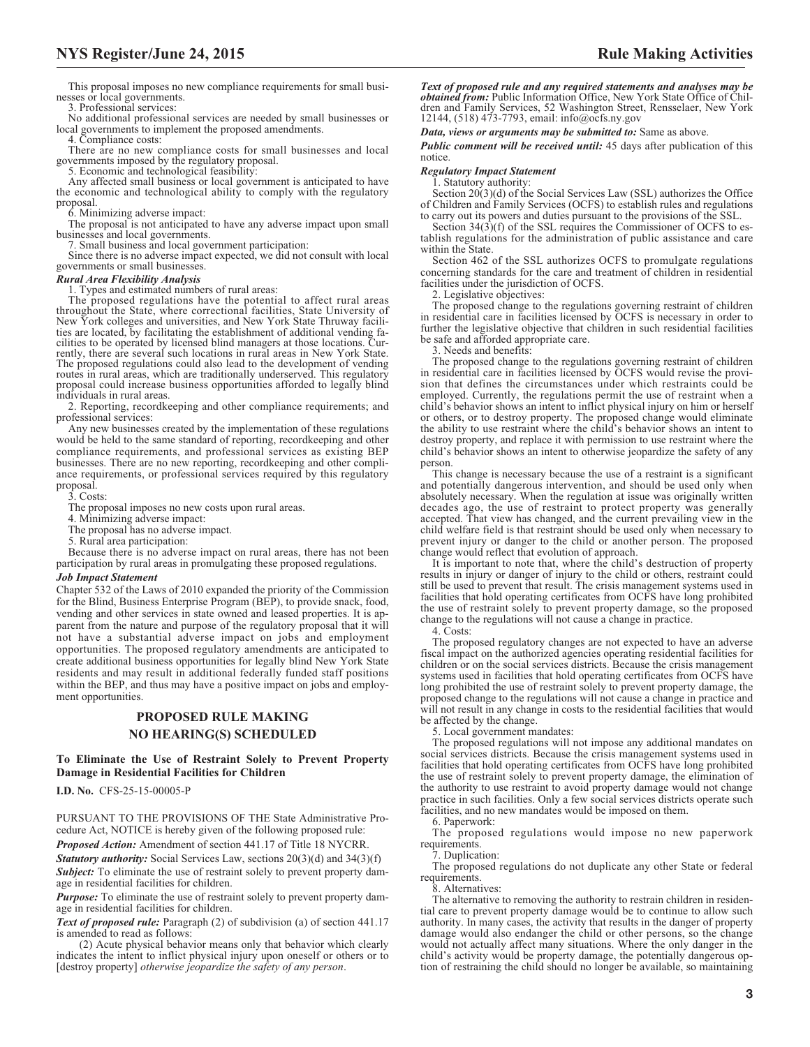This proposal imposes no new compliance requirements for small businesses or local governments.

3. Professional services:

No additional professional services are needed by small businesses or local governments to implement the proposed amendments.

4. Compliance costs:

There are no new compliance costs for small businesses and local governments imposed by the regulatory proposal. 5. Economic and technological feasibility:

Any affected small business or local government is anticipated to have the economic and technological ability to comply with the regulatory proposal.

6. Minimizing adverse impact:

The proposal is not anticipated to have any adverse impact upon small businesses and local governments.

7. Small business and local government participation: Since there is no adverse impact expected, we did not consult with local governments or small businesses.

#### *Rural Area Flexibility Analysis*

1. Types and estimated numbers of rural areas:

The proposed regulations have the potential to affect rural areas throughout the State, where correctional facilities, State University of New York colleges and universities, and New York State Thruway facilities are located, by facilitating the establishment of additional vending facilities to be operated by licensed blind managers at those locations. Cur-rently, there are several such locations in rural areas in New York State. The proposed regulations could also lead to the development of vending routes in rural areas, which are traditionally underserved. This regulatory proposal could increase business opportunities afforded to legally blind individuals in rural areas.

2. Reporting, recordkeeping and other compliance requirements; and professional services:

Any new businesses created by the implementation of these regulations would be held to the same standard of reporting, recordkeeping and other compliance requirements, and professional services as existing BEP businesses. There are no new reporting, recordkeeping and other compliance requirements, or professional services required by this regulatory proposal.

3. Costs:

The proposal imposes no new costs upon rural areas.

4. Minimizing adverse impact:

The proposal has no adverse impact.

5. Rural area participation:

Because there is no adverse impact on rural areas, there has not been participation by rural areas in promulgating these proposed regulations.

#### *Job Impact Statement*

Chapter 532 of the Laws of 2010 expanded the priority of the Commission for the Blind, Business Enterprise Program (BEP), to provide snack, food, vending and other services in state owned and leased properties. It is apparent from the nature and purpose of the regulatory proposal that it will not have a substantial adverse impact on jobs and employment opportunities. The proposed regulatory amendments are anticipated to create additional business opportunities for legally blind New York State residents and may result in additional federally funded staff positions within the BEP, and thus may have a positive impact on jobs and employment opportunities.

# **PROPOSED RULE MAKING NO HEARING(S) SCHEDULED**

#### **To Eliminate the Use of Restraint Solely to Prevent Property Damage in Residential Facilities for Children**

**I.D. No.** CFS-25-15-00005-P

PURSUANT TO THE PROVISIONS OF THE State Administrative Procedure Act, NOTICE is hereby given of the following proposed rule: *Proposed Action:* Amendment of section 441.17 of Title 18 NYCRR.

*Statutory authority:* Social Services Law, sections 20(3)(d) and 34(3)(f) **Subject:** To eliminate the use of restraint solely to prevent property damage in residential facilities for children.

*Purpose:* To eliminate the use of restraint solely to prevent property damage in residential facilities for children.

*Text of proposed rule:* Paragraph (2) of subdivision (a) of section 441.17 is amended to read as follows:

(2) Acute physical behavior means only that behavior which clearly indicates the intent to inflict physical injury upon oneself or others or to [destroy property] *otherwise jeopardize the safety of any person*.

*Text of proposed rule and any required statements and analyses may be obtained from:* Public Information Office, New York State Office of Children and Family Services, 52 Washington Street, Rensselaer, New York 12144, (518) 473-7793, email: [info@ocfs.ny.gov](mailto: info@ocfs.ny.gov)

*Data, views or arguments may be submitted to:* Same as above.

*Public comment will be received until:* 45 days after publication of this notice.

*Regulatory Impact Statement*

1. Statutory authority:

Section 20(3)(d) of the Social Services Law (SSL) authorizes the Office of Children and Family Services (OCFS) to establish rules and regulations to carry out its powers and duties pursuant to the provisions of the SSL.

Section  $34(3)(f)$  of the SSL requires the Commissioner of OCFS to establish regulations for the administration of public assistance and care within the State.

Section 462 of the SSL authorizes OCFS to promulgate regulations concerning standards for the care and treatment of children in residential facilities under the jurisdiction of OCFS.

2. Legislative objectives:

The proposed change to the regulations governing restraint of children in residential care in facilities licensed by OCFS is necessary in order to further the legislative objective that children in such residential facilities be safe and afforded appropriate care.

3. Needs and benefits:

The proposed change to the regulations governing restraint of children in residential care in facilities licensed by OCFS would revise the provision that defines the circumstances under which restraints could be employed. Currently, the regulations permit the use of restraint when a child's behavior shows an intent to inflict physical injury on him or herself or others, or to destroy property. The proposed change would eliminate the ability to use restraint where the child's behavior shows an intent to destroy property, and replace it with permission to use restraint where the child's behavior shows an intent to otherwise jeopardize the safety of any person.

This change is necessary because the use of a restraint is a significant and potentially dangerous intervention, and should be used only when absolutely necessary. When the regulation at issue was originally written decades ago, the use of restraint to protect property was generally accepted. That view has changed, and the current prevailing view in the child welfare field is that restraint should be used only when necessary to prevent injury or danger to the child or another person. The proposed change would reflect that evolution of approach.

It is important to note that, where the child's destruction of property results in injury or danger of injury to the child or others, restraint could still be used to prevent that result. The crisis management systems used in facilities that hold operating certificates from OCFS have long prohibited the use of restraint solely to prevent property damage, so the proposed change to the regulations will not cause a change in practice.

4. Costs:

The proposed regulatory changes are not expected to have an adverse fiscal impact on the authorized agencies operating residential facilities for children or on the social services districts. Because the crisis management systems used in facilities that hold operating certificates from OCFS have long prohibited the use of restraint solely to prevent property damage, the proposed change to the regulations will not cause a change in practice and will not result in any change in costs to the residential facilities that would be affected by the change.

5. Local government mandates:

The proposed regulations will not impose any additional mandates on social services districts. Because the crisis management systems used in facilities that hold operating certificates from OCFS have long prohibited the use of restraint solely to prevent property damage, the elimination of the authority to use restraint to avoid property damage would not change practice in such facilities. Only a few social services districts operate such facilities, and no new mandates would be imposed on them.

6. Paperwork:

The proposed regulations would impose no new paperwork requirements.

7. Duplication:

The proposed regulations do not duplicate any other State or federal requirements.

8. Alternatives:

The alternative to removing the authority to restrain children in residential care to prevent property damage would be to continue to allow such authority. In many cases, the activity that results in the danger of property damage would also endanger the child or other persons, so the change would not actually affect many situations. Where the only danger in the child's activity would be property damage, the potentially dangerous option of restraining the child should no longer be available, so maintaining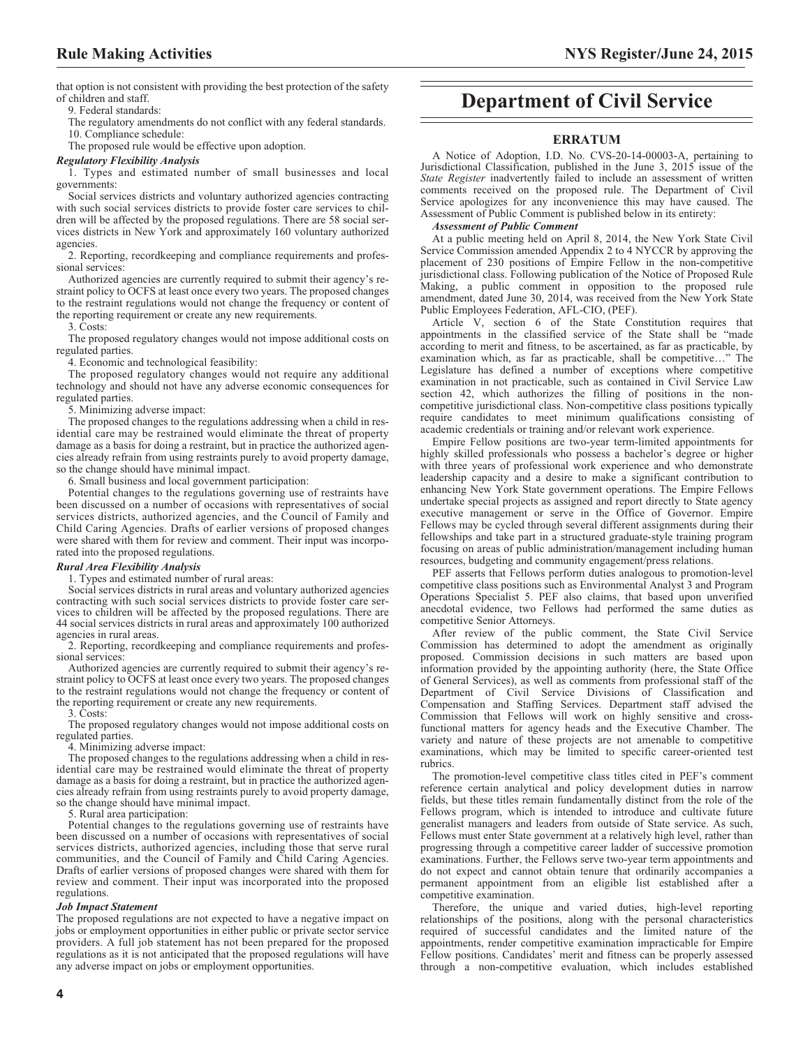that option is not consistent with providing the best protection of the safety of children and staff.

9. Federal standards:

The regulatory amendments do not conflict with any federal standards. 10. Compliance schedule:

The proposed rule would be effective upon adoption.

## *Regulatory Flexibility Analysis*

1. Types and estimated number of small businesses and local governments:

Social services districts and voluntary authorized agencies contracting with such social services districts to provide foster care services to children will be affected by the proposed regulations. There are 58 social services districts in New York and approximately 160 voluntary authorized agencies.

2. Reporting, recordkeeping and compliance requirements and professional services:

Authorized agencies are currently required to submit their agency's restraint policy to OCFS at least once every two years. The proposed changes to the restraint regulations would not change the frequency or content of the reporting requirement or create any new requirements.

3. Costs:

The proposed regulatory changes would not impose additional costs on regulated parties.

4. Economic and technological feasibility:

The proposed regulatory changes would not require any additional technology and should not have any adverse economic consequences for regulated parties.

5. Minimizing adverse impact:

The proposed changes to the regulations addressing when a child in residential care may be restrained would eliminate the threat of property damage as a basis for doing a restraint, but in practice the authorized agencies already refrain from using restraints purely to avoid property damage, so the change should have minimal impact.

6. Small business and local government participation:

Potential changes to the regulations governing use of restraints have been discussed on a number of occasions with representatives of social services districts, authorized agencies, and the Council of Family and Child Caring Agencies. Drafts of earlier versions of proposed changes were shared with them for review and comment. Their input was incorporated into the proposed regulations.

## *Rural Area Flexibility Analysis*

1. Types and estimated number of rural areas:

Social services districts in rural areas and voluntary authorized agencies contracting with such social services districts to provide foster care services to children will be affected by the proposed regulations. There are 44 social services districts in rural areas and approximately 100 authorized agencies in rural areas.

2. Reporting, recordkeeping and compliance requirements and professional services:

Authorized agencies are currently required to submit their agency's restraint policy to OCFS at least once every two years. The proposed changes to the restraint regulations would not change the frequency or content of the reporting requirement or create any new requirements.

3. Costs:

The proposed regulatory changes would not impose additional costs on regulated parties.

4. Minimizing adverse impact:

The proposed changes to the regulations addressing when a child in residential care may be restrained would eliminate the threat of property damage as a basis for doing a restraint, but in practice the authorized agencies already refrain from using restraints purely to avoid property damage, so the change should have minimal impact.

5. Rural area participation:

Potential changes to the regulations governing use of restraints have been discussed on a number of occasions with representatives of social services districts, authorized agencies, including those that serve rural communities, and the Council of Family and Child Caring Agencies. Drafts of earlier versions of proposed changes were shared with them for review and comment. Their input was incorporated into the proposed regulations.

#### *Job Impact Statement*

The proposed regulations are not expected to have a negative impact on jobs or employment opportunities in either public or private sector service providers. A full job statement has not been prepared for the proposed regulations as it is not anticipated that the proposed regulations will have any adverse impact on jobs or employment opportunities.

# **Department of Civil Service**

## **ERRATUM**

A Notice of Adoption, I.D. No. CVS-20-14-00003-A, pertaining to Jurisdictional Classification, published in the June 3, 2015 issue of the *State Register* inadvertently failed to include an assessment of written comments received on the proposed rule. The Department of Civil Service apologizes for any inconvenience this may have caused. The Assessment of Public Comment is published below in its entirety:

#### *Assessment of Public Comment*

At a public meeting held on April 8, 2014, the New York State Civil Service Commission amended Appendix 2 to 4 NYCCR by approving the placement of 230 positions of Empire Fellow in the non-competitive jurisdictional class. Following publication of the Notice of Proposed Rule Making, a public comment in opposition to the proposed rule amendment, dated June 30, 2014, was received from the New York State Public Employees Federation, AFL-CIO, (PEF).

Article V, section 6 of the State Constitution requires that appointments in the classified service of the State shall be "made according to merit and fitness, to be ascertained, as far as practicable, by examination which, as far as practicable, shall be competitive…" The Legislature has defined a number of exceptions where competitive examination in not practicable, such as contained in Civil Service Law section 42, which authorizes the filling of positions in the noncompetitive jurisdictional class. Non-competitive class positions typically require candidates to meet minimum qualifications consisting of academic credentials or training and/or relevant work experience.

Empire Fellow positions are two-year term-limited appointments for highly skilled professionals who possess a bachelor's degree or higher with three years of professional work experience and who demonstrate leadership capacity and a desire to make a significant contribution to enhancing New York State government operations. The Empire Fellows undertake special projects as assigned and report directly to State agency executive management or serve in the Office of Governor. Empire Fellows may be cycled through several different assignments during their fellowships and take part in a structured graduate-style training program focusing on areas of public administration/management including human resources, budgeting and community engagement/press relations.

PEF asserts that Fellows perform duties analogous to promotion-level competitive class positions such as Environmental Analyst 3 and Program Operations Specialist 5. PEF also claims, that based upon unverified anecdotal evidence, two Fellows had performed the same duties as competitive Senior Attorneys.

After review of the public comment, the State Civil Service Commission has determined to adopt the amendment as originally proposed. Commission decisions in such matters are based upon information provided by the appointing authority (here, the State Office of General Services), as well as comments from professional staff of the Department of Civil Service Divisions of Classification and Compensation and Staffing Services. Department staff advised the Commission that Fellows will work on highly sensitive and crossfunctional matters for agency heads and the Executive Chamber. The variety and nature of these projects are not amenable to competitive examinations, which may be limited to specific career-oriented test rubrics.

The promotion-level competitive class titles cited in PEF's comment reference certain analytical and policy development duties in narrow fields, but these titles remain fundamentally distinct from the role of the Fellows program, which is intended to introduce and cultivate future generalist managers and leaders from outside of State service. As such, Fellows must enter State government at a relatively high level, rather than progressing through a competitive career ladder of successive promotion examinations. Further, the Fellows serve two-year term appointments and do not expect and cannot obtain tenure that ordinarily accompanies a permanent appointment from an eligible list established after a competitive examination.

Therefore, the unique and varied duties, high-level reporting relationships of the positions, along with the personal characteristics required of successful candidates and the limited nature of the appointments, render competitive examination impracticable for Empire Fellow positions. Candidates' merit and fitness can be properly assessed through a non-competitive evaluation, which includes established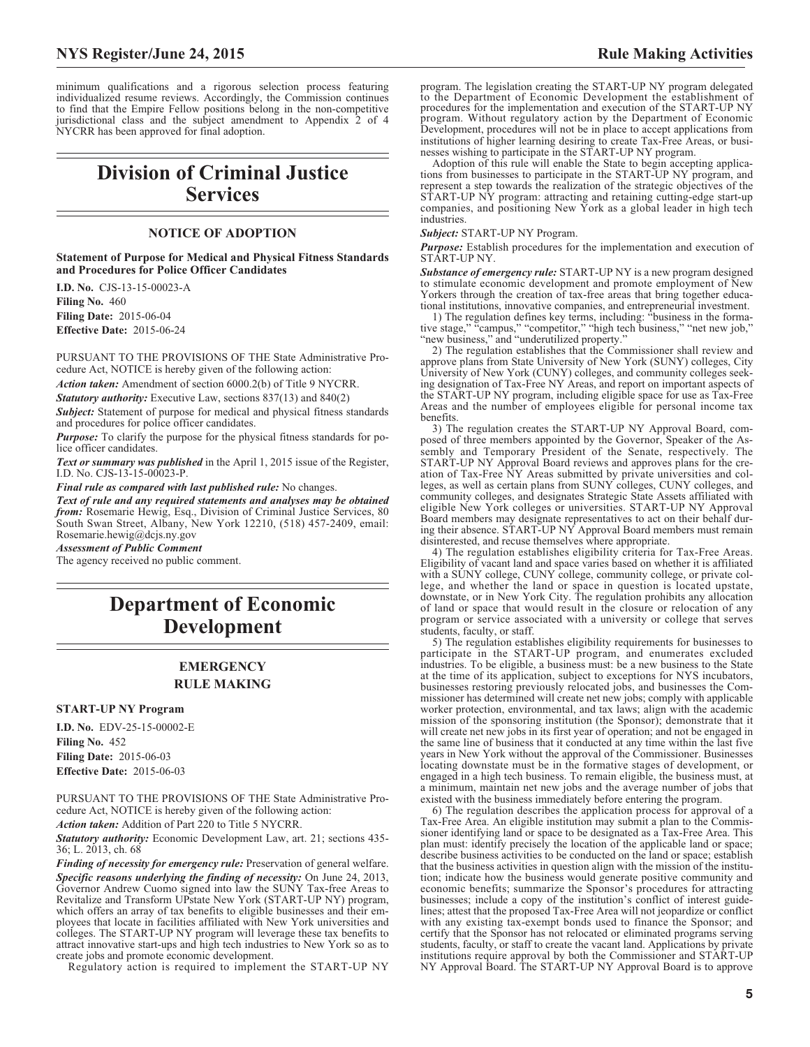minimum qualifications and a rigorous selection process featuring individualized resume reviews. Accordingly, the Commission continues to find that the Empire Fellow positions belong in the non-competitive jurisdictional class and the subject amendment to Appendix 2 of 4 NYCRR has been approved for final adoption.

# **Division of Criminal Justice Services**

# **NOTICE OF ADOPTION**

**Statement of Purpose for Medical and Physical Fitness Standards and Procedures for Police Officer Candidates**

**I.D. No.** CJS-13-15-00023-A **Filing No.** 460 **Filing Date:** 2015-06-04 **Effective Date:** 2015-06-24

PURSUANT TO THE PROVISIONS OF THE State Administrative Procedure Act, NOTICE is hereby given of the following action:

*Action taken:* Amendment of section 6000.2(b) of Title 9 NYCRR.

*Statutory authority:* Executive Law, sections 837(13) and 840(2)

*Subject:* Statement of purpose for medical and physical fitness standards and procedures for police officer candidates.

*Purpose:* To clarify the purpose for the physical fitness standards for police officer candidates.

*Text or summary was published* in the April 1, 2015 issue of the Register, I.D. No. CJS-13-15-00023-P.

*Final rule as compared with last published rule:* No changes.

*Text of rule and any required statements and analyses may be obtained from:* Rosemarie Hewig, Esq., Division of Criminal Justice Services, 80 South Swan Street, Albany, New York 12210, (518) 457-2409, email: Rosemarie.hewig@dcjs.ny.gov

*Assessment of Public Comment*

The agency received no public comment.

# **Department of Economic Development**

# **EMERGENCY RULE MAKING**

#### **START-UP NY Program**

**I.D. No.** EDV-25-15-00002-E **Filing No.** 452 **Filing Date:** 2015-06-03 **Effective Date:** 2015-06-03

PURSUANT TO THE PROVISIONS OF THE State Administrative Procedure Act, NOTICE is hereby given of the following action:

*Action taken:* Addition of Part 220 to Title 5 NYCRR.

*Statutory authority:* Economic Development Law, art. 21; sections 435- 36; L. 2013, ch. 68

*Finding of necessity for emergency rule:* Preservation of general welfare. *Specific reasons underlying the finding of necessity:* On June 24, 2013, Governor Andrew Cuomo signed into law the SUNY Tax-free Areas to Revitalize and Transform UPstate New York (START-UP NY) program, which offers an array of tax benefits to eligible businesses and their employees that locate in facilities affiliated with New York universities and colleges. The START-UP NY program will leverage these tax benefits to attract innovative start-ups and high tech industries to New York so as to create jobs and promote economic development.

Regulatory action is required to implement the START-UP NY

program. The legislation creating the START-UP NY program delegated to the Department of Economic Development the establishment of procedures for the implementation and execution of the START-UP NY program. Without regulatory action by the Department of Economic Development, procedures will not be in place to accept applications from institutions of higher learning desiring to create Tax-Free Areas, or businesses wishing to participate in the START-UP NY program.

Adoption of this rule will enable the State to begin accepting applications from businesses to participate in the START-UP NY program, and represent a step towards the realization of the strategic objectives of the START-UP NY program: attracting and retaining cutting-edge start-up companies, and positioning New York as a global leader in high tech industries.

*Subject:* START-UP NY Program.

*Purpose:* Establish procedures for the implementation and execution of START-UP NY.

*Substance of emergency rule:* START-UP NY is a new program designed to stimulate economic development and promote employment of New Yorkers through the creation of tax-free areas that bring together educational institutions, innovative companies, and entrepreneurial investment.

1) The regulation defines key terms, including: "business in the formative stage," "campus," "competitor," "high tech business," "net new job," "new business," and "underutilized property."

2) The regulation establishes that the Commissioner shall review and approve plans from State University of New York (SUNY) colleges, City University of New York (CUNY) colleges, and community colleges seeking designation of Tax-Free NY Areas, and report on important aspects of the START-UP NY program, including eligible space for use as Tax-Free Areas and the number of employees eligible for personal income tax benefits.

3) The regulation creates the START-UP NY Approval Board, composed of three members appointed by the Governor, Speaker of the Assembly and Temporary President of the Senate, respectively. The START-UP NY Approval Board reviews and approves plans for the creation of Tax-Free NY Areas submitted by private universities and colleges, as well as certain plans from SUNY colleges, CUNY colleges, and community colleges, and designates Strategic State Assets affiliated with eligible New York colleges or universities. START-UP NY Approval Board members may designate representatives to act on their behalf during their absence. START-UP NY Approval Board members must remain disinterested, and recuse themselves where appropriate.

4) The regulation establishes eligibility criteria for Tax-Free Areas. Eligibility of vacant land and space varies based on whether it is affiliated with a SUNY college, CUNY college, community college, or private college, and whether the land or space in question is located upstate, downstate, or in New York City. The regulation prohibits any allocation of land or space that would result in the closure or relocation of any program or service associated with a university or college that serves students, faculty, or staff.

5) The regulation establishes eligibility requirements for businesses to participate in the START-UP program, and enumerates excluded industries. To be eligible, a business must: be a new business to the State at the time of its application, subject to exceptions for NYS incubators, businesses restoring previously relocated jobs, and businesses the Commissioner has determined will create net new jobs; comply with applicable worker protection, environmental, and tax laws; align with the academic mission of the sponsoring institution (the Sponsor); demonstrate that it will create net new jobs in its first year of operation; and not be engaged in the same line of business that it conducted at any time within the last five years in New York without the approval of the Commissioner. Businesses locating downstate must be in the formative stages of development, or engaged in a high tech business. To remain eligible, the business must, at a minimum, maintain net new jobs and the average number of jobs that existed with the business immediately before entering the program.

6) The regulation describes the application process for approval of a Tax-Free Area. An eligible institution may submit a plan to the Commissioner identifying land or space to be designated as a Tax-Free Area. This plan must: identify precisely the location of the applicable land or space; describe business activities to be conducted on the land or space; establish that the business activities in question align with the mission of the institution; indicate how the business would generate positive community and economic benefits; summarize the Sponsor's procedures for attracting businesses; include a copy of the institution's conflict of interest guidelines; attest that the proposed Tax-Free Area will not jeopardize or conflict with any existing tax-exempt bonds used to finance the Sponsor; and certify that the Sponsor has not relocated or eliminated programs serving students, faculty, or staff to create the vacant land. Applications by private institutions require approval by both the Commissioner and START-UP NY Approval Board. The START-UP NY Approval Board is to approve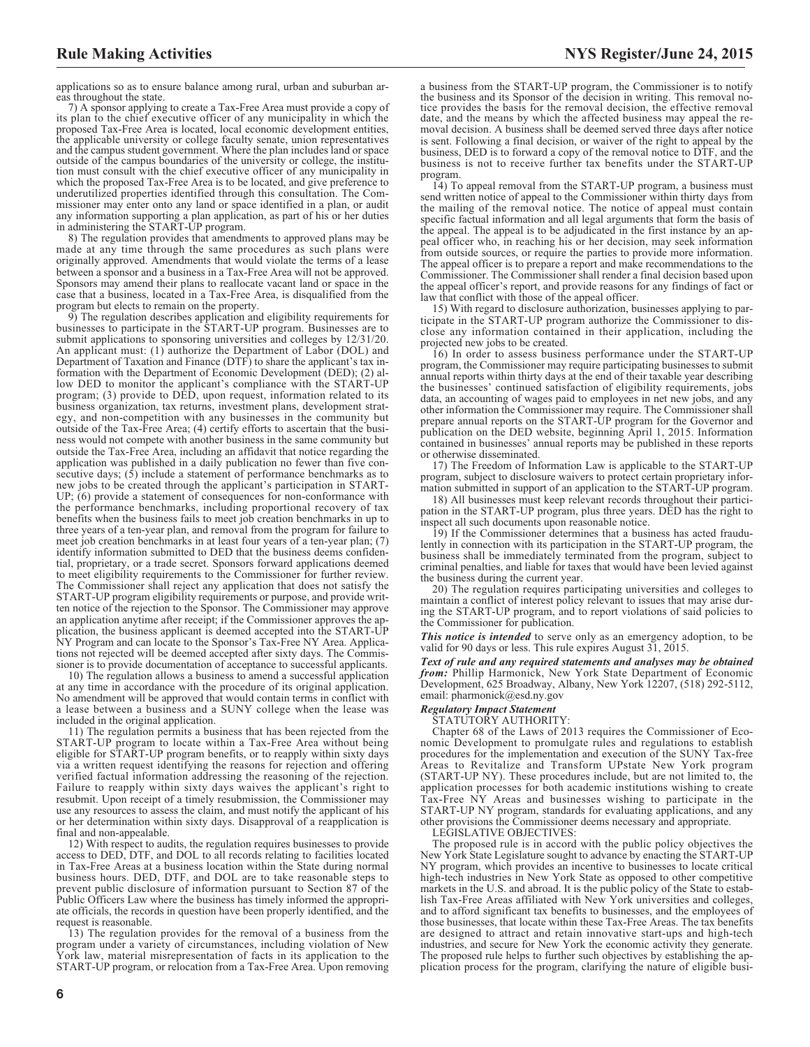applications so as to ensure balance among rural, urban and suburban areas throughout the state.

7) A sponsor applying to create a Tax-Free Area must provide a copy of its plan to the chief executive officer of any municipality in which the proposed Tax-Free Area is located, local economic development entities, the applicable university or college faculty senate, union representatives and the campus student government. Where the plan includes land or space outside of the campus boundaries of the university or college, the institution must consult with the chief executive officer of any municipality in which the proposed Tax-Free Area is to be located, and give preference to underutilized properties identified through this consultation. The Commissioner may enter onto any land or space identified in a plan, or audit any information supporting a plan application, as part of his or her duties in administering the START-UP program.

8) The regulation provides that amendments to approved plans may be made at any time through the same procedures as such plans were originally approved. Amendments that would violate the terms of a lease between a sponsor and a business in a Tax-Free Area will not be approved. Sponsors may amend their plans to reallocate vacant land or space in the case that a business, located in a Tax-Free Area, is disqualified from the program but elects to remain on the property.

9) The regulation describes application and eligibility requirements for businesses to participate in the START-UP program. Businesses are to submit applications to sponsoring universities and colleges by 12/31/20. An applicant must: (1) authorize the Department of Labor (DOL) and Department of Taxation and Finance (DTF) to share the applicant's tax information with the Department of Economic Development (DED); (2) allow DED to monitor the applicant's compliance with the START-UP program; (3) provide to DED, upon request, information related to its business organization, tax returns, investment plans, development strategy, and non-competition with any businesses in the community but outside of the Tax-Free Area; (4) certify efforts to ascertain that the business would not compete with another business in the same community but outside the Tax-Free Area, including an affidavit that notice regarding the application was published in a daily publication no fewer than five consecutive days; (5) include a statement of performance benchmarks as to new jobs to be created through the applicant's participation in START-UP; (6) provide a statement of consequences for non-conformance with the performance benchmarks, including proportional recovery of tax benefits when the business fails to meet job creation benchmarks in up to three years of a ten-year plan, and removal from the program for failure to meet job creation benchmarks in at least four years of a ten-year plan; (7) identify information submitted to DED that the business deems confidential, proprietary, or a trade secret. Sponsors forward applications deemed to meet eligibility requirements to the Commissioner for further review. The Commissioner shall reject any application that does not satisfy the START-UP program eligibility requirements or purpose, and provide written notice of the rejection to the Sponsor. The Commissioner may approve an application anytime after receipt; if the Commissioner approves the application, the business applicant is deemed accepted into the START-UP NY Program and can locate to the Sponsor's Tax-Free NY Area. Applications not rejected will be deemed accepted after sixty days. The Commissioner is to provide documentation of acceptance to successful applicants.

10) The regulation allows a business to amend a successful application at any time in accordance with the procedure of its original application. No amendment will be approved that would contain terms in conflict with a lease between a business and a SUNY college when the lease was included in the original application.

11) The regulation permits a business that has been rejected from the START-UP program to locate within a Tax-Free Area without being eligible for START-UP program benefits, or to reapply within sixty days via a written request identifying the reasons for rejection and offering verified factual information addressing the reasoning of the rejection. Failure to reapply within sixty days waives the applicant's right to resubmit. Upon receipt of a timely resubmission, the Commissioner may use any resources to assess the claim, and must notify the applicant of his or her determination within sixty days. Disapproval of a reapplication is final and non-appealable.

12) With respect to audits, the regulation requires businesses to provide access to DED, DTF, and DOL to all records relating to facilities located in Tax-Free Areas at a business location within the State during normal business hours. DED, DTF, and DOL are to take reasonable steps to prevent public disclosure of information pursuant to Section 87 of the Public Officers Law where the business has timely informed the appropriate officials, the records in question have been properly identified, and the request is reasonable.

13) The regulation provides for the removal of a business from the program under a variety of circumstances, including violation of New York law, material misrepresentation of facts in its application to the START-UP program, or relocation from a Tax-Free Area. Upon removing

a business from the START-UP program, the Commissioner is to notify the business and its Sponsor of the decision in writing. This removal notice provides the basis for the removal decision, the effective removal date, and the means by which the affected business may appeal the removal decision. A business shall be deemed served three days after notice is sent. Following a final decision, or waiver of the right to appeal by the business, DED is to forward a copy of the removal notice to DTF, and the business is not to receive further tax benefits under the START-UP program.

14) To appeal removal from the START-UP program, a business must send written notice of appeal to the Commissioner within thirty days from the mailing of the removal notice. The notice of appeal must contain specific factual information and all legal arguments that form the basis of the appeal. The appeal is to be adjudicated in the first instance by an appeal officer who, in reaching his or her decision, may seek information from outside sources, or require the parties to provide more information. The appeal officer is to prepare a report and make recommendations to the Commissioner. The Commissioner shall render a final decision based upon the appeal officer's report, and provide reasons for any findings of fact or law that conflict with those of the appeal officer.

15) With regard to disclosure authorization, businesses applying to participate in the START-UP program authorize the Commissioner to disclose any information contained in their application, including the projected new jobs to be created.

16) In order to assess business performance under the START-UP program, the Commissioner may require participating businesses to submit annual reports within thirty days at the end of their taxable year describing the businesses' continued satisfaction of eligibility requirements, jobs data, an accounting of wages paid to employees in net new jobs, and any other information the Commissioner may require. The Commissioner shall prepare annual reports on the START-UP program for the Governor and publication on the DED website, beginning April 1, 2015. Information contained in businesses' annual reports may be published in these reports or otherwise disseminated.

17) The Freedom of Information Law is applicable to the START-UP program, subject to disclosure waivers to protect certain proprietary information submitted in support of an application to the START-UP program.

18) All businesses must keep relevant records throughout their participation in the START-UP program, plus three years. DED has the right to inspect all such documents upon reasonable notice.

19) If the Commissioner determines that a business has acted fraudulently in connection with its participation in the START-UP program, the business shall be immediately terminated from the program, subject to criminal penalties, and liable for taxes that would have been levied against the business during the current year.

20) The regulation requires participating universities and colleges to maintain a conflict of interest policy relevant to issues that may arise during the START-UP program, and to report violations of said policies to the Commissioner for publication.

*This notice is intended* to serve only as an emergency adoption, to be valid for 90 days or less. This rule expires August 31, 2015.

*Text of rule and any required statements and analyses may be obtained from:* Phillip Harmonick, New York State Department of Economic Development, 625 Broadway, Albany, New York 12207, (518) 292-5112, email: pharmonick@esd.ny.gov

#### *Regulatory Impact Statement*

STATUTORY AUTHORITY:

Chapter 68 of the Laws of 2013 requires the Commissioner of Economic Development to promulgate rules and regulations to establish procedures for the implementation and execution of the SUNY Tax-free Areas to Revitalize and Transform UPstate New York program (START-UP NY). These procedures include, but are not limited to, the application processes for both academic institutions wishing to create Tax-Free NY Areas and businesses wishing to participate in the START-UP NY program, standards for evaluating applications, and any other provisions the Commissioner deems necessary and appropriate.

LEGISLATIVE OBJECTIVES:

The proposed rule is in accord with the public policy objectives the New York State Legislature sought to advance by enacting the START-UP NY program, which provides an incentive to businesses to locate critical high-tech industries in New York State as opposed to other competitive markets in the U.S. and abroad. It is the public policy of the State to establish Tax-Free Areas affiliated with New York universities and colleges, and to afford significant tax benefits to businesses, and the employees of those businesses, that locate within these Tax-Free Areas. The tax benefits are designed to attract and retain innovative start-ups and high-tech industries, and secure for New York the economic activity they generate. The proposed rule helps to further such objectives by establishing the application process for the program, clarifying the nature of eligible busi-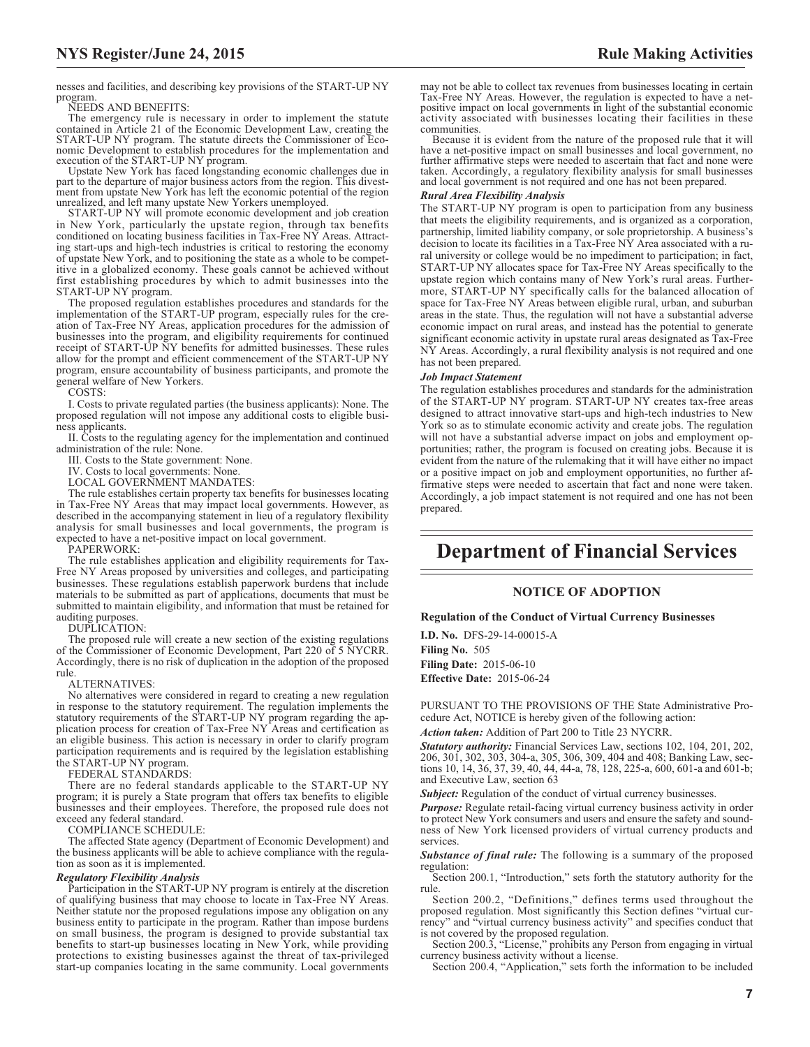nesses and facilities, and describing key provisions of the START-UP NY program.

NEEDS AND BENEFITS:

The emergency rule is necessary in order to implement the statute contained in Article 21 of the Economic Development Law, creating the START-UP NY program. The statute directs the Commissioner of Economic Development to establish procedures for the implementation and

execution of the START-UP NY program. Upstate New York has faced longstanding economic challenges due in part to the departure of major business actors from the region. This divestment from upstate New York has left the economic potential of the region unrealized, and left many upstate New Yorkers unemployed.

START-UP NY will promote economic development and job creation in New York, particularly the upstate region, through tax benefits conditioned on locating business facilities in Tax-Free NY Areas. Attracting start-ups and high-tech industries is critical to restoring the economy of upstate New York, and to positioning the state as a whole to be competitive in a globalized economy. These goals cannot be achieved without first establishing procedures by which to admit businesses into the START-UP NY program.

The proposed regulation establishes procedures and standards for the implementation of the START-UP program, especially rules for the creation of Tax-Free NY Areas, application procedures for the admission of businesses into the program, and eligibility requirements for continued receipt of START-UP NY benefits for admitted businesses. These rules allow for the prompt and efficient commencement of the START-UP NY program, ensure accountability of business participants, and promote the general welfare of New Yorkers.

COSTS:

I. Costs to private regulated parties (the business applicants): None. The proposed regulation will not impose any additional costs to eligible business applicants.

II. Costs to the regulating agency for the implementation and continued administration of the rule: None.

III. Costs to the State government: None.

IV. Costs to local governments: None.

LOCAL GOVERNMENT MANDATES:

The rule establishes certain property tax benefits for businesses locating in Tax-Free NY Areas that may impact local governments. However, as described in the accompanying statement in lieu of a regulatory flexibility analysis for small businesses and local governments, the program is expected to have a net-positive impact on local government.

PAPERWORK:

The rule establishes application and eligibility requirements for Tax-Free NY Areas proposed by universities and colleges, and participating businesses. These regulations establish paperwork burdens that include materials to be submitted as part of applications, documents that must be submitted to maintain eligibility, and information that must be retained for auditing purposes.

DUPLICATION:

The proposed rule will create a new section of the existing regulations of the Commissioner of Economic Development, Part 220 of 5 NYCRR. Accordingly, there is no risk of duplication in the adoption of the proposed rule.

#### ALTERNATIVES:

No alternatives were considered in regard to creating a new regulation in response to the statutory requirement. The regulation implements the statutory requirements of the START-UP NY program regarding the application process for creation of Tax-Free NY Areas and certification as an eligible business. This action is necessary in order to clarify program participation requirements and is required by the legislation establishing the START-UP NY program.

FEDERAL STANDARDS:

There are no federal standards applicable to the START-UP NY program; it is purely a State program that offers tax benefits to eligible businesses and their employees. Therefore, the proposed rule does not exceed any federal standard.

COMPLIANCE SCHEDULE:

The affected State agency (Department of Economic Development) and the business applicants will be able to achieve compliance with the regulation as soon as it is implemented.

#### *Regulatory Flexibility Analysis*

Participation in the START-UP NY program is entirely at the discretion of qualifying business that may choose to locate in Tax-Free NY Areas. Neither statute nor the proposed regulations impose any obligation on any business entity to participate in the program. Rather than impose burdens on small business, the program is designed to provide substantial tax benefits to start-up businesses locating in New York, while providing protections to existing businesses against the threat of tax-privileged start-up companies locating in the same community. Local governments

may not be able to collect tax revenues from businesses locating in certain Tax-Free NY Areas. However, the regulation is expected to have a netpositive impact on local governments in light of the substantial economic activity associated with businesses locating their facilities in these communities.

Because it is evident from the nature of the proposed rule that it will have a net-positive impact on small businesses and local government, no further affirmative steps were needed to ascertain that fact and none were taken. Accordingly, a regulatory flexibility analysis for small businesses and local government is not required and one has not been prepared.

## *Rural Area Flexibility Analysis*

The START-UP NY program is open to participation from any business that meets the eligibility requirements, and is organized as a corporation, partnership, limited liability company, or sole proprietorship. A business's decision to locate its facilities in a Tax-Free NY Area associated with a rural university or college would be no impediment to participation; in fact, START-UP NY allocates space for Tax-Free NY Areas specifically to the upstate region which contains many of New York's rural areas. Furthermore, START-UP NY specifically calls for the balanced allocation of space for Tax-Free NY Areas between eligible rural, urban, and suburban areas in the state. Thus, the regulation will not have a substantial adverse economic impact on rural areas, and instead has the potential to generate significant economic activity in upstate rural areas designated as Tax-Free NY Areas. Accordingly, a rural flexibility analysis is not required and one has not been prepared.

#### *Job Impact Statement*

The regulation establishes procedures and standards for the administration of the START-UP NY program. START-UP NY creates tax-free areas designed to attract innovative start-ups and high-tech industries to New York so as to stimulate economic activity and create jobs. The regulation will not have a substantial adverse impact on jobs and employment opportunities; rather, the program is focused on creating jobs. Because it is evident from the nature of the rulemaking that it will have either no impact or a positive impact on job and employment opportunities, no further affirmative steps were needed to ascertain that fact and none were taken. Accordingly, a job impact statement is not required and one has not been prepared.

# **Department of Financial Services**

## **NOTICE OF ADOPTION**

#### **Regulation of the Conduct of Virtual Currency Businesses**

**I.D. No.** DFS-29-14-00015-A **Filing No.** 505 **Filing Date:** 2015-06-10 **Effective Date:** 2015-06-24

PURSUANT TO THE PROVISIONS OF THE State Administrative Procedure Act, NOTICE is hereby given of the following action:

*Action taken:* Addition of Part 200 to Title 23 NYCRR.

*Statutory authority:* Financial Services Law, sections 102, 104, 201, 202, 206, 301, 302, 303, 304-a, 305, 306, 309, 404 and 408; Banking Law, sections 10, 14, 36, 37, 39, 40, 44, 44-a, 78, 128, 225-a, 600, 601-a and 601-b; and Executive Law, section 63

**Subject:** Regulation of the conduct of virtual currency businesses.

*Purpose:* Regulate retail-facing virtual currency business activity in order to protect New York consumers and users and ensure the safety and soundness of New York licensed providers of virtual currency products and services.

*Substance of final rule:* The following is a summary of the proposed regulation:

Section 200.1, "Introduction," sets forth the statutory authority for the rule.

Section 200.2, "Definitions," defines terms used throughout the proposed regulation. Most significantly this Section defines "virtual currency" and "virtual currency business activity" and specifies conduct that is not covered by the proposed regulation.

Section 200.3, "License," prohibits any Person from engaging in virtual currency business activity without a license.

Section 200.4, "Application," sets forth the information to be included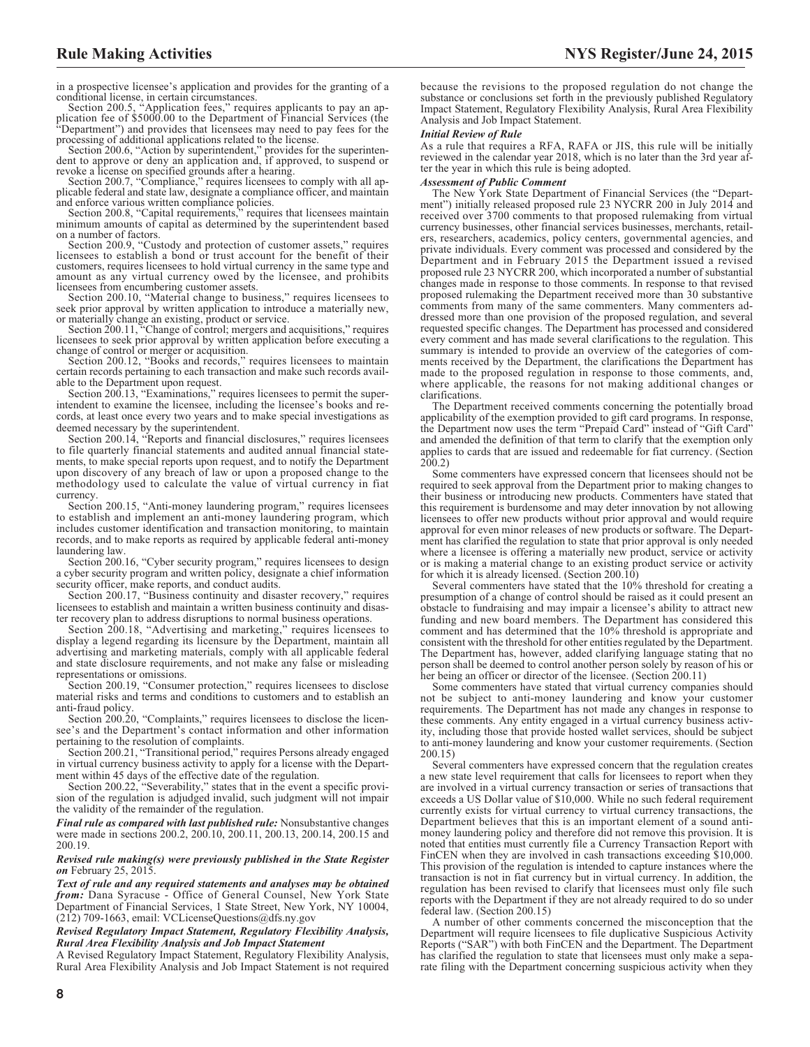in a prospective licensee's application and provides for the granting of a

conditional license, in certain circumstances. Section 200.5, "Application fees," requires applicants to pay an application fee of \$5000.00 to the Department of Financial Services (the "Department") and provides that licensees may need to pay fees for the processing of additional applications related to the license.

Section 200.6, "Action by superintendent," provides for the superinten-dent to approve or deny an application and, if approved, to suspend or

revoke a license on specified grounds after a hearing. Section 200.7, "Compliance," requires licensees to comply with all ap-plicable federal and state law, designate a compliance officer, and maintain

and enforce various written compliance policies. Section 200.8, "Capital requirements," requires that licensees maintain minimum amounts of capital as determined by the superintendent based on a number of factors.

Section 200.9, "Custody and protection of customer assets," requires licensees to establish a bond or trust account for the benefit of their customers, requires licensees to hold virtual currency in the same type and amount as any virtual currency owed by the licensee, and prohibits

licensees from encumbering customer assets. Section 200.10, "Material change to business," requires licensees to seek prior approval by written application to introduce a materially new, or materially change an existing, product or service.

Section 200.11, "Change of control; mergers and acquisitions," requires licensees to seek prior approval by written application before executing a

change of control or merger or acquisition. Section 200.12, "Books and records," requires licensees to maintain certain records pertaining to each transaction and make such records available to the Department upon request.

Section 200.13, "Examinations," requires licensees to permit the superintendent to examine the licensee, including the licensee's books and records, at least once every two years and to make special investigations as deemed necessary by the superintendent.

Section 200.14, "Reports and financial disclosures," requires licensees to file quarterly financial statements and audited annual financial statements, to make special reports upon request, and to notify the Department upon discovery of any breach of law or upon a proposed change to the methodology used to calculate the value of virtual currency in fiat currency.

Section 200.15, "Anti-money laundering program," requires licensees to establish and implement an anti-money laundering program, which includes customer identification and transaction monitoring, to maintain records, and to make reports as required by applicable federal anti-money laundering law.

Section 200.16, "Cyber security program," requires licensees to design a cyber security program and written policy, designate a chief information security officer, make reports, and conduct audits.

Section 200.17, "Business continuity and disaster recovery," requires licensees to establish and maintain a written business continuity and disaster recovery plan to address disruptions to normal business operations.

Section 200.18, "Advertising and marketing," requires licensees to display a legend regarding its licensure by the Department, maintain all advertising and marketing materials, comply with all applicable federal and state disclosure requirements, and not make any false or misleading representations or omissions.

Section 200.19, "Consumer protection," requires licensees to disclose material risks and terms and conditions to customers and to establish an anti-fraud policy.

Section 200.20, "Complaints," requires licensees to disclose the licensee's and the Department's contact information and other information pertaining to the resolution of complaints.

Section 200.21, "Transitional period," requires Persons already engaged in virtual currency business activity to apply for a license with the Department within 45 days of the effective date of the regulation.

Section 200.22, "Severability," states that in the event a specific provision of the regulation is adjudged invalid, such judgment will not impair the validity of the remainder of the regulation.

*Final rule as compared with last published rule:* Nonsubstantive changes were made in sections 200.2, 200.10, 200.11, 200.13, 200.14, 200.15 and 200.19.

#### *Revised rule making(s) were previously published in the State Register on* February 25, 2015.

*Text of rule and any required statements and analyses may be obtained from:* Dana Syracuse - Office of General Counsel, New York State Department of Financial Services, 1 State Street, New York, NY 10004, (212) 709-1663, email: VCLicenseQuestions@dfs.ny.gov

*Revised Regulatory Impact Statement, Regulatory Flexibility Analysis, Rural Area Flexibility Analysis and Job Impact Statement*

A Revised Regulatory Impact Statement, Regulatory Flexibility Analysis, Rural Area Flexibility Analysis and Job Impact Statement is not required because the revisions to the proposed regulation do not change the substance or conclusions set forth in the previously published Regulatory Impact Statement, Regulatory Flexibility Analysis, Rural Area Flexibility Analysis and Job Impact Statement.

#### *Initial Review of Rule*

As a rule that requires a RFA, RAFA or JIS, this rule will be initially reviewed in the calendar year 2018, which is no later than the 3rd year after the year in which this rule is being adopted.

#### *Assessment of Public Comment*

The New York State Department of Financial Services (the "Department") initially released proposed rule 23 NYCRR 200 in July 2014 and received over 3700 comments to that proposed rulemaking from virtual currency businesses, other financial services businesses, merchants, retailers, researchers, academics, policy centers, governmental agencies, and private individuals. Every comment was processed and considered by the Department and in February 2015 the Department issued a revised proposed rule 23 NYCRR 200, which incorporated a number of substantial changes made in response to those comments. In response to that revised proposed rulemaking the Department received more than 30 substantive comments from many of the same commenters. Many commenters addressed more than one provision of the proposed regulation, and several requested specific changes. The Department has processed and considered every comment and has made several clarifications to the regulation. This summary is intended to provide an overview of the categories of comments received by the Department, the clarifications the Department has made to the proposed regulation in response to those comments, and, where applicable, the reasons for not making additional changes or clarifications.

The Department received comments concerning the potentially broad applicability of the exemption provided to gift card programs. In response, the Department now uses the term "Prepaid Card" instead of "Gift Card" and amended the definition of that term to clarify that the exemption only applies to cards that are issued and redeemable for fiat currency. (Section 200.2)

Some commenters have expressed concern that licensees should not be required to seek approval from the Department prior to making changes to their business or introducing new products. Commenters have stated that this requirement is burdensome and may deter innovation by not allowing licensees to offer new products without prior approval and would require approval for even minor releases of new products or software. The Department has clarified the regulation to state that prior approval is only needed where a licensee is offering a materially new product, service or activity or is making a material change to an existing product service or activity for which it is already licensed. (Section 200.10)

Several commenters have stated that the 10% threshold for creating a presumption of a change of control should be raised as it could present an obstacle to fundraising and may impair a licensee's ability to attract new funding and new board members. The Department has considered this comment and has determined that the 10% threshold is appropriate and consistent with the threshold for other entities regulated by the Department. The Department has, however, added clarifying language stating that no person shall be deemed to control another person solely by reason of his or her being an officer or director of the licensee. (Section 200.11)

Some commenters have stated that virtual currency companies should not be subject to anti-money laundering and know your customer requirements. The Department has not made any changes in response to these comments. Any entity engaged in a virtual currency business activity, including those that provide hosted wallet services, should be subject to anti-money laundering and know your customer requirements. (Section 200.15)

Several commenters have expressed concern that the regulation creates a new state level requirement that calls for licensees to report when they are involved in a virtual currency transaction or series of transactions that exceeds a US Dollar value of \$10,000. While no such federal requirement currently exists for virtual currency to virtual currency transactions, the Department believes that this is an important element of a sound antimoney laundering policy and therefore did not remove this provision. It is noted that entities must currently file a Currency Transaction Report with FinCEN when they are involved in cash transactions exceeding \$10,000. This provision of the regulation is intended to capture instances where the transaction is not in fiat currency but in virtual currency. In addition, the regulation has been revised to clarify that licensees must only file such reports with the Department if they are not already required to do so under federal law. (Section 200.15)

A number of other comments concerned the misconception that the Department will require licensees to file duplicative Suspicious Activity Reports ("SAR") with both FinCEN and the Department. The Department has clarified the regulation to state that licensees must only make a separate filing with the Department concerning suspicious activity when they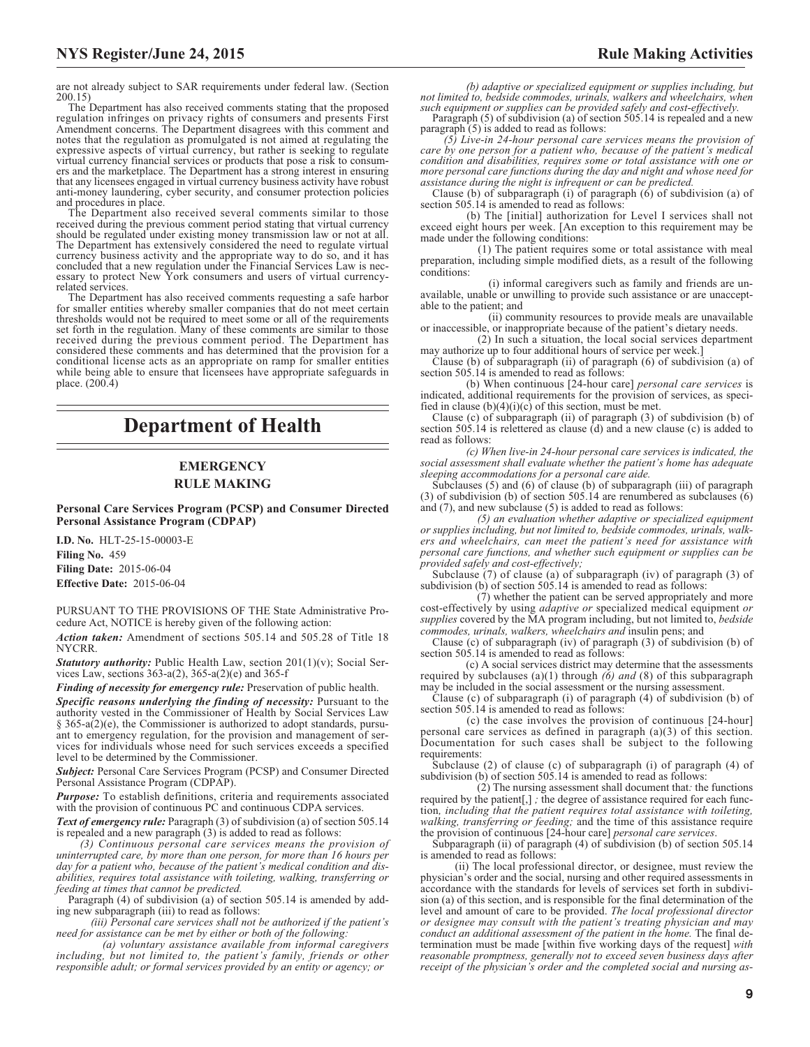are not already subject to SAR requirements under federal law. (Section 200.15)

The Department has also received comments stating that the proposed regulation infringes on privacy rights of consumers and presents First Amendment concerns. The Department disagrees with this comment and notes that the regulation as promulgated is not aimed at regulating the expressive aspects of virtual currency, but rather is seeking to regulate virtual currency financial services or products that pose a risk to consumers and the marketplace. The Department has a strong interest in ensuring that any licensees engaged in virtual currency business activity have robust anti-money laundering, cyber security, and consumer protection policies and procedures in place.

The Department also received several comments similar to those received during the previous comment period stating that virtual currency should be regulated under existing money transmission law or not at all. The Department has extensively considered the need to regulate virtual currency business activity and the appropriate way to do so, and it has concluded that a new regulation under the Financial Services Law is nec-essary to protect New York consumers and users of virtual currencyrelated services.

The Department has also received comments requesting a safe harbor for smaller entities whereby smaller companies that do not meet certain thresholds would not be required to meet some or all of the requirements set forth in the regulation. Many of these comments are similar to those received during the previous comment period. The Department has considered these comments and has determined that the provision for a conditional license acts as an appropriate on ramp for smaller entities while being able to ensure that licensees have appropriate safeguards in place. (200.4)

# **Department of Health**

# **EMERGENCY RULE MAKING**

**Personal Care Services Program (PCSP) and Consumer Directed Personal Assistance Program (CDPAP)**

**I.D. No.** HLT-25-15-00003-E **Filing No.** 459 **Filing Date:** 2015-06-04 **Effective Date:** 2015-06-04

PURSUANT TO THE PROVISIONS OF THE State Administrative Procedure Act, NOTICE is hereby given of the following action:

*Action taken:* Amendment of sections 505.14 and 505.28 of Title 18 NYCRR.

*Statutory authority:* Public Health Law, section 201(1)(v); Social Services Law, sections 363-a(2), 365-a(2)(e) and 365-f

*Finding of necessity for emergency rule:* Preservation of public health.

*Specific reasons underlying the finding of necessity:* Pursuant to the authority vested in the Commissioner of Health by Social Services Law § 365-a(2)(e), the Commissioner is authorized to adopt standards, pursuant to emergency regulation, for the provision and management of services for individuals whose need for such services exceeds a specified level to be determined by the Commissioner.

*Subject:* Personal Care Services Program (PCSP) and Consumer Directed Personal Assistance Program (CDPAP).

*Purpose:* To establish definitions, criteria and requirements associated with the provision of continuous PC and continuous CDPA services.

*Text of emergency rule:* Paragraph (3) of subdivision (a) of section 505.14 is repealed and a new paragraph (3) is added to read as follows:

*(3) Continuous personal care services means the provision of uninterrupted care, by more than one person, for more than 16 hours per day for a patient who, because of the patient's medical condition and disabilities, requires total assistance with toileting, walking, transferring or feeding at times that cannot be predicted.*

Paragraph (4) of subdivision (a) of section 505.14 is amended by adding new subparagraph (iii) to read as follows:

*(iii) Personal care services shall not be authorized if the patient's need for assistance can be met by either or both of the following:*

*(a) voluntary assistance available from informal caregivers including, but not limited to, the patient's family, friends or other responsible adult; or formal services provided by an entity or agency; or*

*(b) adaptive or specialized equipment or supplies including, but not limited to, bedside commodes, urinals, walkers and wheelchairs, when such equipment or supplies can be provided safely and cost-effectively.*

Paragraph (5) of subdivision (a) of section  $\frac{505.14}{ }$  is repealed and a new paragraph (5) is added to read as follows:

*(5) Live-in 24-hour personal care services means the provision of care by one person for a patient who, because of the patient's medical condition and disabilities, requires some or total assistance with one or more personal care functions during the day and night and whose need for assistance during the night is infrequent or can be predicted.*

Clause (b) of subparagraph (i) of paragraph (6) of subdivision (a) of section 505.14 is amended to read as follows:

(b) The [initial] authorization for Level I services shall not exceed eight hours per week. [An exception to this requirement may be made under the following conditions:

(1) The patient requires some or total assistance with meal preparation, including simple modified diets, as a result of the following conditions:

(i) informal caregivers such as family and friends are unavailable, unable or unwilling to provide such assistance or are unacceptable to the patient; and

(ii) community resources to provide meals are unavailable or inaccessible, or inappropriate because of the patient's dietary needs.

(2) In such a situation, the local social services department may authorize up to four additional hours of service per week.]

Clause (b) of subparagraph (ii) of paragraph (6) of subdivision (a) of section 505.14 is amended to read as follows:

(b) When continuous [24-hour care] *personal care services* is indicated, additional requirements for the provision of services, as specified in clause  $(b)(4)(i)(c)$  of this section, must be met.

Clause (c) of subparagraph (ii) of paragraph (3) of subdivision (b) of section 505.14 is relettered as clause (d) and a new clause (c) is added to read as follows:

*(c) When live-in 24-hour personal care services is indicated, the social assessment shall evaluate whether the patient's home has adequate sleeping accommodations for a personal care aide.*

Subclauses (5) and (6) of clause (b) of subparagraph (iii) of paragraph (3) of subdivision (b) of section 505.14 are renumbered as subclauses (6) and (7), and new subclause (5) is added to read as follows:

*(5) an evaluation whether adaptive or specialized equipment or supplies including, but not limited to, bedside commodes, urinals, walkers and wheelchairs, can meet the patient's need for assistance with personal care functions, and whether such equipment or supplies can be provided safely and cost-effectively;*

Subclause (7) of clause (a) of subparagraph (iv) of paragraph (3) of subdivision (b) of section 505.14 is amended to read as follows:

 $(7)$  whether the patient can be served appropriately and more cost-effectively by using *adaptive or* specialized medical equipment *or supplies* covered by the MA program including, but not limited to, *bedside commodes, urinals, walkers, wheelchairs and* insulin pens; and

Clause (c) of subparagraph (iv) of paragraph (3) of subdivision (b) of section 505.14 is amended to read as follows:

(c) A social services district may determine that the assessments required by subclauses (a)(1) through *(6) and* (8) of this subparagraph may be included in the social assessment or the nursing assessment.

Clause (c) of subparagraph (i) of paragraph  $(4)$  of subdivision (b) of section 505.14 is amended to read as follows:

(c) the case involves the provision of continuous [24-hour] personal care services as defined in paragraph (a)(3) of this section. Documentation for such cases shall be subject to the following requirements:

Subclause (2) of clause (c) of subparagraph (i) of paragraph (4) of subdivision (b) of section 505.14 is amended to read as follows:

(2) The nursing assessment shall document that*:* the functions required by the patient[,] *;* the degree of assistance required for each function*, including that the patient requires total assistance with toileting, walking, transferring or feeding;* and the time of this assistance require the provision of continuous [24-hour care] *personal care services*.

Subparagraph (ii) of paragraph (4) of subdivision (b) of section 505.14 is amended to read as follows:

(ii) The local professional director, or designee, must review the physician's order and the social, nursing and other required assessments in accordance with the standards for levels of services set forth in subdivision (a) of this section, and is responsible for the final determination of the level and amount of care to be provided. *The local professional director or designee may consult with the patient's treating physician and may conduct an additional assessment of the patient in the home.* The final determination must be made [within five working days of the request] *with reasonable promptness, generally not to exceed seven business days after receipt of the physician's order and the completed social and nursing as-*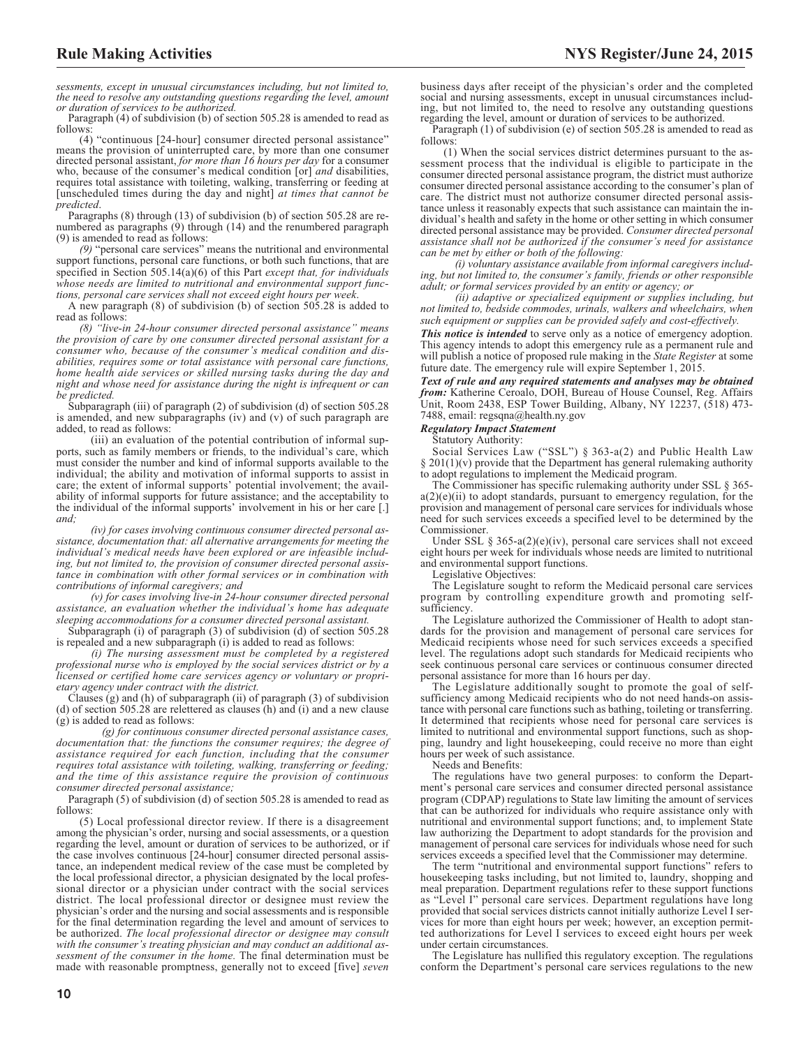*sessments, except in unusual circumstances including, but not limited to, the need to resolve any outstanding questions regarding the level, amount or duration of services to be authorized.*

Paragraph (4) of subdivision (b) of section 505.28 is amended to read as follows:

(4) "continuous [24-hour] consumer directed personal assistance" means the provision of uninterrupted care, by more than one consumer directed personal assistant, *for more than 16 hours per day* for a consumer who, because of the consumer's medical condition [or] *and* disabilities, requires total assistance with toileting, walking, transferring or feeding at [unscheduled times during the day and night] *at times that cannot be predicted*.

Paragraphs (8) through (13) of subdivision (b) of section 505.28 are renumbered as paragraphs (9) through (14) and the renumbered paragraph (9) is amended to read as follows:

*(9)* "personal care services" means the nutritional and environmental support functions, personal care functions, or both such functions, that are specified in Section 505.14(a)(6) of this Part *except that, for individuals whose needs are limited to nutritional and environmental support functions, personal care services shall not exceed eight hours per week*.

A new paragraph (8) of subdivision (b) of section 505.28 is added to read as follows:

*(8) "live-in 24-hour consumer directed personal assistance" means the provision of care by one consumer directed personal assistant for a consumer who, because of the consumer's medical condition and disabilities, requires some or total assistance with personal care functions, home health aide services or skilled nursing tasks during the day and night and whose need for assistance during the night is infrequent or can be predicted.*

Subparagraph (iii) of paragraph (2) of subdivision (d) of section 505.28 is amended, and new subparagraphs (iv) and (v) of such paragraph are added, to read as follows:

(iii) an evaluation of the potential contribution of informal supports, such as family members or friends, to the individual's care, which must consider the number and kind of informal supports available to the individual; the ability and motivation of informal supports to assist in care; the extent of informal supports' potential involvement; the availability of informal supports for future assistance; and the acceptability to the individual of the informal supports' involvement in his or her care [.] *and;*

*(iv) for cases involving continuous consumer directed personal assistance, documentation that: all alternative arrangements for meeting the individual's medical needs have been explored or are infeasible including, but not limited to, the provision of consumer directed personal assistance in combination with other formal services or in combination with contributions of informal caregivers; and*

*(v) for cases involving live-in 24-hour consumer directed personal assistance, an evaluation whether the individual's home has adequate sleeping accommodations for a consumer directed personal assistant.*

Subparagraph (i) of paragraph (3) of subdivision (d) of section 505.28 is repealed and a new subparagraph (i) is added to read as follows:

*(i) The nursing assessment must be completed by a registered professional nurse who is employed by the social services district or by a licensed or certified home care services agency or voluntary or proprietary agency under contract with the district.*

Clauses  $(g)$  and  $(h)$  of subparagraph  $(ii)$  of paragraph  $(3)$  of subdivision (d) of section 505.28 are relettered as clauses (h) and (i) and a new clause (g) is added to read as follows:

*(g) for continuous consumer directed personal assistance cases, documentation that: the functions the consumer requires; the degree of assistance required for each function, including that the consumer requires total assistance with toileting, walking, transferring or feeding; and the time of this assistance require the provision of continuous consumer directed personal assistance;*

Paragraph (5) of subdivision (d) of section 505.28 is amended to read as follows:

(5) Local professional director review. If there is a disagreement among the physician's order, nursing and social assessments, or a question regarding the level, amount or duration of services to be authorized, or if the case involves continuous [24-hour] consumer directed personal assistance, an independent medical review of the case must be completed by the local professional director, a physician designated by the local professional director or a physician under contract with the social services district. The local professional director or designee must review the physician's order and the nursing and social assessments and is responsible for the final determination regarding the level and amount of services to be authorized. *The local professional director or designee may consult with the consumer's treating physician and may conduct an additional assessment of the consumer in the home.* The final determination must be made with reasonable promptness, generally not to exceed [five] *seven*

business days after receipt of the physician's order and the completed social and nursing assessments, except in unusual circumstances including, but not limited to, the need to resolve any outstanding questions regarding the level, amount or duration of services to be authorized.

Paragraph (1) of subdivision (e) of section 505.28 is amended to read as follows:

(1) When the social services district determines pursuant to the assessment process that the individual is eligible to participate in the consumer directed personal assistance program, the district must authorize consumer directed personal assistance according to the consumer's plan of care. The district must not authorize consumer directed personal assistance unless it reasonably expects that such assistance can maintain the individual's health and safety in the home or other setting in which consumer directed personal assistance may be provided. *Consumer directed personal assistance shall not be authorized if the consumer's need for assistance can be met by either or both of the following:*

*(i) voluntary assistance available from informal caregivers including, but not limited to, the consumer's family, friends or other responsible adult; or formal services provided by an entity or agency; or*

*(ii) adaptive or specialized equipment or supplies including, but not limited to, bedside commodes, urinals, walkers and wheelchairs, when such equipment or supplies can be provided safely and cost-effectively.*

*This notice is intended* to serve only as a notice of emergency adoption. This agency intends to adopt this emergency rule as a permanent rule and will publish a notice of proposed rule making in the *State Register* at some future date. The emergency rule will expire September 1, 2015.

*Text of rule and any required statements and analyses may be obtained from:* Katherine Ceroalo, DOH, Bureau of House Counsel, Reg. Affairs Unit, Room 2438, ESP Tower Building, Albany, NY 12237, (518) 473- 7488, email: regsqna@health.ny.gov

#### *Regulatory Impact Statement*

Statutory Authority:

Social Services Law ("SSL") § 363-a(2) and Public Health Law  $§$  201(1)(v) provide that the Department has general rulemaking authority to adopt regulations to implement the Medicaid program.

The Commissioner has specific rulemaking authority under SSL § 365  $a(2)(e)(ii)$  to adopt standards, pursuant to emergency regulation, for the provision and management of personal care services for individuals whose need for such services exceeds a specified level to be determined by the Commissioner.

Under SSL  $\S 365-a(2)(e)(iv)$ , personal care services shall not exceed eight hours per week for individuals whose needs are limited to nutritional and environmental support functions.

Legislative Objectives:

The Legislature sought to reform the Medicaid personal care services program by controlling expenditure growth and promoting selfsufficiency.

The Legislature authorized the Commissioner of Health to adopt standards for the provision and management of personal care services for Medicaid recipients whose need for such services exceeds a specified level. The regulations adopt such standards for Medicaid recipients who seek continuous personal care services or continuous consumer directed personal assistance for more than 16 hours per day.

The Legislature additionally sought to promote the goal of selfsufficiency among Medicaid recipients who do not need hands-on assistance with personal care functions such as bathing, toileting or transferring. It determined that recipients whose need for personal care services is limited to nutritional and environmental support functions, such as shopping, laundry and light housekeeping, could receive no more than eight hours per week of such assistance.

Needs and Benefits:

The regulations have two general purposes: to conform the Department's personal care services and consumer directed personal assistance program (CDPAP) regulations to State law limiting the amount of services that can be authorized for individuals who require assistance only with nutritional and environmental support functions; and, to implement State law authorizing the Department to adopt standards for the provision and management of personal care services for individuals whose need for such services exceeds a specified level that the Commissioner may determine.

The term "nutritional and environmental support functions" refers to housekeeping tasks including, but not limited to, laundry, shopping and meal preparation. Department regulations refer to these support functions as "Level I" personal care services. Department regulations have long provided that social services districts cannot initially authorize Level I services for more than eight hours per week; however, an exception permitted authorizations for Level I services to exceed eight hours per week under certain circumstances.

The Legislature has nullified this regulatory exception. The regulations conform the Department's personal care services regulations to the new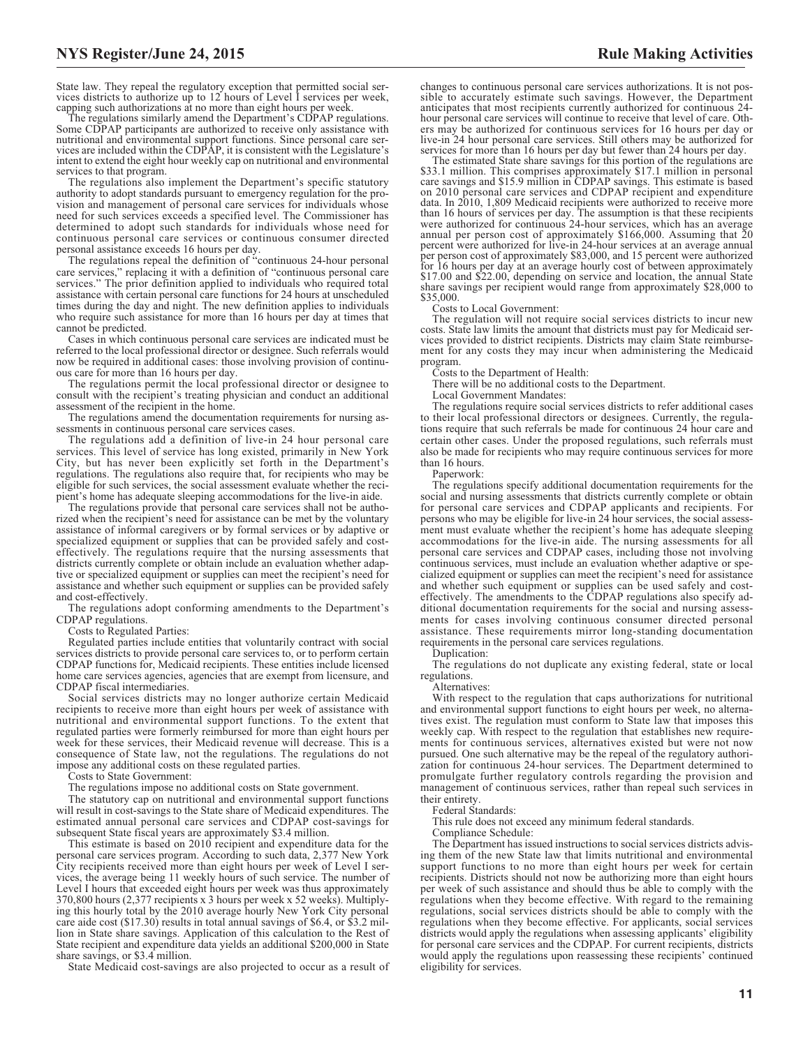State law. They repeal the regulatory exception that permitted social services districts to authorize up to 12 hours of Level I services per week,

capping such authorizations at no more than eight hours per week. The regulations similarly amend the Department's CDPAP regulations. Some CDPAP participants are authorized to receive only assistance with nutritional and environmental support functions. Since personal care services are included within the CDPAP, it is consistent with the Legislature's intent to extend the eight hour weekly cap on nutritional and environmental services to that program.

The regulations also implement the Department's specific statutory authority to adopt standards pursuant to emergency regulation for the provision and management of personal care services for individuals whose need for such services exceeds a specified level. The Commissioner has determined to adopt such standards for individuals whose need for continuous personal care services or continuous consumer directed personal assistance exceeds 16 hours per day.

The regulations repeal the definition of "continuous 24-hour personal care services," replacing it with a definition of "continuous personal care services." The prior definition applied to individuals who required total assistance with certain personal care functions for 24 hours at unscheduled times during the day and night. The new definition applies to individuals who require such assistance for more than 16 hours per day at times that cannot be predicted.

Cases in which continuous personal care services are indicated must be referred to the local professional director or designee. Such referrals would now be required in additional cases: those involving provision of continuous care for more than 16 hours per day.

The regulations permit the local professional director or designee to consult with the recipient's treating physician and conduct an additional assessment of the recipient in the home.

The regulations amend the documentation requirements for nursing assessments in continuous personal care services cases.

The regulations add a definition of live-in 24 hour personal care services. This level of service has long existed, primarily in New York City, but has never been explicitly set forth in the Department's regulations. The regulations also require that, for recipients who may be eligible for such services, the social assessment evaluate whether the recipient's home has adequate sleeping accommodations for the live-in aide.

The regulations provide that personal care services shall not be authorized when the recipient's need for assistance can be met by the voluntary assistance of informal caregivers or by formal services or by adaptive or specialized equipment or supplies that can be provided safely and costeffectively. The regulations require that the nursing assessments that districts currently complete or obtain include an evaluation whether adaptive or specialized equipment or supplies can meet the recipient's need for assistance and whether such equipment or supplies can be provided safely and cost-effectively.

The regulations adopt conforming amendments to the Department's CDPAP regulations.

Costs to Regulated Parties:

Regulated parties include entities that voluntarily contract with social services districts to provide personal care services to, or to perform certain CDPAP functions for, Medicaid recipients. These entities include licensed home care services agencies, agencies that are exempt from licensure, and CDPAP fiscal intermediaries.

Social services districts may no longer authorize certain Medicaid recipients to receive more than eight hours per week of assistance with nutritional and environmental support functions. To the extent that regulated parties were formerly reimbursed for more than eight hours per week for these services, their Medicaid revenue will decrease. This is a consequence of State law, not the regulations. The regulations do not impose any additional costs on these regulated parties.

Costs to State Government:

The regulations impose no additional costs on State government.

The statutory cap on nutritional and environmental support functions will result in cost-savings to the State share of Medicaid expenditures. The estimated annual personal care services and CDPAP cost-savings for subsequent State fiscal years are approximately \$3.4 million.

This estimate is based on 2010 recipient and expenditure data for the personal care services program. According to such data, 2,377 New York City recipients received more than eight hours per week of Level I services, the average being 11 weekly hours of such service. The number of Level I hours that exceeded eight hours per week was thus approximately 370,800 hours (2,377 recipients x 3 hours per week x 52 weeks). Multiplying this hourly total by the 2010 average hourly New York City personal care aide cost (\$17.30) results in total annual savings of \$6.4, or \$3.2 million in State share savings. Application of this calculation to the Rest of State recipient and expenditure data yields an additional \$200,000 in State share savings, or \$3.4 million.

State Medicaid cost-savings are also projected to occur as a result of

changes to continuous personal care services authorizations. It is not possible to accurately estimate such savings. However, the Department anticipates that most recipients currently authorized for continuous 24 hour personal care services will continue to receive that level of care. Others may be authorized for continuous services for 16 hours per day or live-in 24 hour personal care services. Still others may be authorized for services for more than 16 hours per day but fewer than 24 hours per day.

The estimated State share savings for this portion of the regulations are \$33.1 million. This comprises approximately \$17.1 million in personal care savings and \$15.9 million in CDPAP savings. This estimate is based on 2010 personal care services and CDPAP recipient and expenditure data. In 2010, 1,809 Medicaid recipients were authorized to receive more<br>than 16 hours of services per day. The assumption is that these recipients<br>were authorized for continuous 24-hour services, which has an average<br>annu percent were authorized for live-in 24-hour services at an average annual per person cost of approximately \$83,000, and 15 percent were authorized for 16 hours per day at an average hourly cost of between approximately \$17.00 and \$22.00, depending on service and location, the annual State share savings per recipient would range from approximately \$28,000 to \$35,000.

Costs to Local Government: The regulation will not require social services districts to incur new costs. State law limits the amount that districts must pay for Medicaid services provided to district recipients. Districts may claim State reimbursement for any costs they may incur when administering the Medicaid program.

Costs to the Department of Health:

There will be no additional costs to the Department.

Local Government Mandates:

The regulations require social services districts to refer additional cases to their local professional directors or designees. Currently, the regulations require that such referrals be made for continuous 24 hour care and certain other cases. Under the proposed regulations, such referrals must also be made for recipients who may require continuous services for more than 16 hours.

Paperwork:

The regulations specify additional documentation requirements for the social and nursing assessments that districts currently complete or obtain for personal care services and CDPAP applicants and recipients. For persons who may be eligible for live-in 24 hour services, the social assessment must evaluate whether the recipient's home has adequate sleeping accommodations for the live-in aide. The nursing assessments for all personal care services and CDPAP cases, including those not involving continuous services, must include an evaluation whether adaptive or specialized equipment or supplies can meet the recipient's need for assistance and whether such equipment or supplies can be used safely and costeffectively. The amendments to the CDPAP regulations also specify additional documentation requirements for the social and nursing assessments for cases involving continuous consumer directed personal assistance. These requirements mirror long-standing documentation requirements in the personal care services regulations.

Duplication:

The regulations do not duplicate any existing federal, state or local regulations.

Alternatives:

With respect to the regulation that caps authorizations for nutritional and environmental support functions to eight hours per week, no alternatives exist. The regulation must conform to State law that imposes this weekly cap. With respect to the regulation that establishes new requirements for continuous services, alternatives existed but were not now pursued. One such alternative may be the repeal of the regulatory authorization for continuous 24-hour services. The Department determined to promulgate further regulatory controls regarding the provision and management of continuous services, rather than repeal such services in their entirety.

Federal Standards:

This rule does not exceed any minimum federal standards.

Compliance Schedule:

The Department has issued instructions to social services districts advising them of the new State law that limits nutritional and environmental support functions to no more than eight hours per week for certain recipients. Districts should not now be authorizing more than eight hours per week of such assistance and should thus be able to comply with the regulations when they become effective. With regard to the remaining regulations, social services districts should be able to comply with the regulations when they become effective. For applicants, social services districts would apply the regulations when assessing applicants' eligibility for personal care services and the CDPAP. For current recipients, districts would apply the regulations upon reassessing these recipients' continued eligibility for services.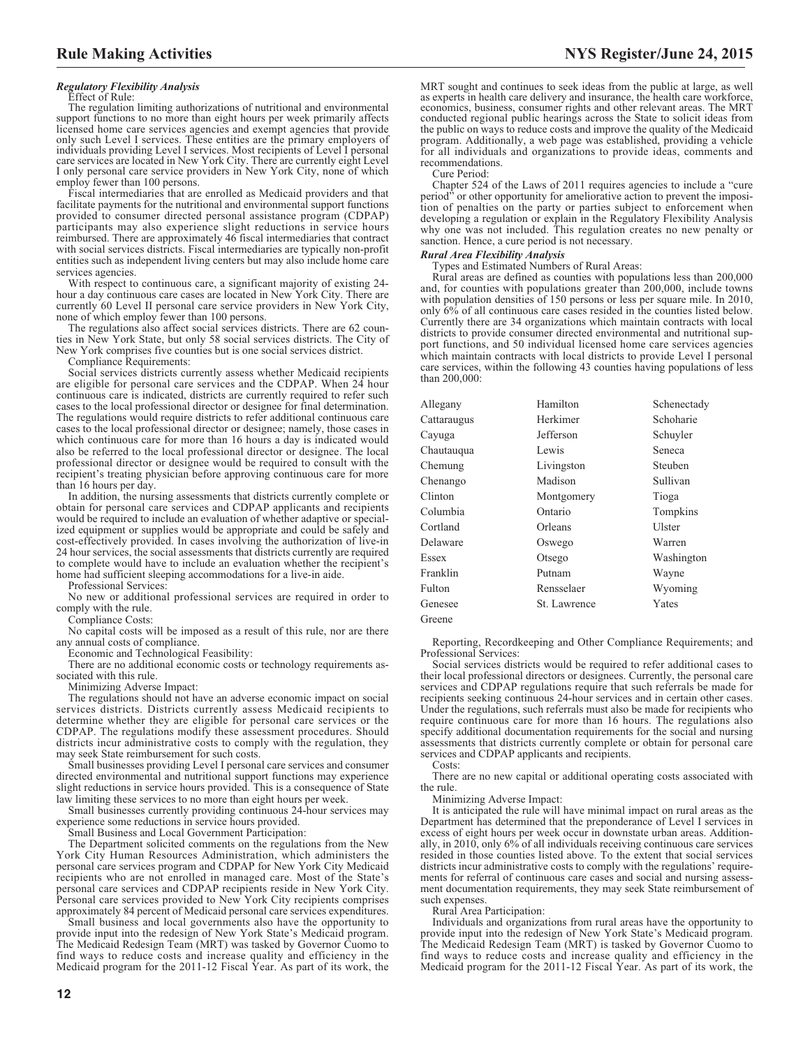## *Regulatory Flexibility Analysis*

Effect of Rule:

The regulation limiting authorizations of nutritional and environmental support functions to no more than eight hours per week primarily affects licensed home care services agencies and exempt agencies that provide only such Level I services. These entities are the primary employers of individuals providing Level I services. Most recipients of Level I personal care services are located in New York City. There are currently eight Level I only personal care service providers in New York City, none of which employ fewer than 100 persons.

Fiscal intermediaries that are enrolled as Medicaid providers and that facilitate payments for the nutritional and environmental support functions provided to consumer directed personal assistance program (CDPAP) participants may also experience slight reductions in service hours reimbursed. There are approximately 46 fiscal intermediaries that contract with social services districts. Fiscal intermediaries are typically non-profit entities such as independent living centers but may also include home care services agencies.

With respect to continuous care, a significant majority of existing 24 hour a day continuous care cases are located in New York City. There are currently 60 Level II personal care service providers in New York City, none of which employ fewer than 100 persons.

The regulations also affect social services districts. There are 62 counties in New York State, but only 58 social services districts. The City of New York comprises five counties but is one social services district.

Compliance Requirements:

Social services districts currently assess whether Medicaid recipients are eligible for personal care services and the CDPAP. When 24 hour continuous care is indicated, districts are currently required to refer such cases to the local professional director or designee for final determination. The regulations would require districts to refer additional continuous care cases to the local professional director or designee; namely, those cases in which continuous care for more than 16 hours a day is indicated would also be referred to the local professional director or designee. The local professional director or designee would be required to consult with the recipient's treating physician before approving continuous care for more than 16 hours per day.

In addition, the nursing assessments that districts currently complete or obtain for personal care services and CDPAP applicants and recipients would be required to include an evaluation of whether adaptive or specialized equipment or supplies would be appropriate and could be safely and cost-effectively provided. In cases involving the authorization of live-in 24 hour services, the social assessments that districts currently are required to complete would have to include an evaluation whether the recipient's home had sufficient sleeping accommodations for a live-in aide.

Professional Services:

No new or additional professional services are required in order to comply with the rule.

Compliance Costs:

No capital costs will be imposed as a result of this rule, nor are there any annual costs of compliance.

Economic and Technological Feasibility:

There are no additional economic costs or technology requirements associated with this rule.

Minimizing Adverse Impact:

The regulations should not have an adverse economic impact on social services districts. Districts currently assess Medicaid recipients to determine whether they are eligible for personal care services or the CDPAP. The regulations modify these assessment procedures. Should districts incur administrative costs to comply with the regulation, they may seek State reimbursement for such costs.

Small businesses providing Level I personal care services and consumer directed environmental and nutritional support functions may experience slight reductions in service hours provided. This is a consequence of State law limiting these services to no more than eight hours per week.

Small businesses currently providing continuous 24-hour services may experience some reductions in service hours provided.

Small Business and Local Government Participation:

The Department solicited comments on the regulations from the New York City Human Resources Administration, which administers the personal care services program and CDPAP for New York City Medicaid recipients who are not enrolled in managed care. Most of the State's personal care services and CDPAP recipients reside in New York City. Personal care services provided to New York City recipients comprises approximately 84 percent of Medicaid personal care services expenditures.

Small business and local governments also have the opportunity to provide input into the redesign of New York State's Medicaid program. The Medicaid Redesign Team (MRT) was tasked by Governor Cuomo to find ways to reduce costs and increase quality and efficiency in the Medicaid program for the 2011-12 Fiscal Year. As part of its work, the

MRT sought and continues to seek ideas from the public at large, as well as experts in health care delivery and insurance, the health care workforce, economics, business, consumer rights and other relevant areas. The MRT conducted regional public hearings across the State to solicit ideas from the public on ways to reduce costs and improve the quality of the Medicaid program. Additionally, a web page was established, providing a vehicle for all individuals and organizations to provide ideas, comments and recommendations.

Cure Period:

Chapter 524 of the Laws of 2011 requires agencies to include a "cure period" or other opportunity for ameliorative action to prevent the imposition of penalties on the party or parties subject to enforcement when developing a regulation or explain in the Regulatory Flexibility Analysis why one was not included. This regulation creates no new penalty or sanction. Hence, a cure period is not necessary.

#### *Rural Area Flexibility Analysis*

Types and Estimated Numbers of Rural Areas:

Rural areas are defined as counties with populations less than 200,000 and, for counties with populations greater than 200,000, include towns with population densities of 150 persons or less per square mile. In 2010, only 6% of all continuous care cases resided in the counties listed below. Currently there are 34 organizations which maintain contracts with local districts to provide consumer directed environmental and nutritional support functions, and 50 individual licensed home care services agencies which maintain contracts with local districts to provide Level I personal care services, within the following 43 counties having populations of less than 200,000:

| Allegany    | Hamilton     | Schenectady |
|-------------|--------------|-------------|
| Cattaraugus | Herkimer     | Schoharie   |
| Cayuga      | Jefferson    | Schuyler    |
| Chautauqua  | Lewis        | Seneca      |
| Chemung     | Livingston   | Steuben     |
| Chenango    | Madison      | Sullivan    |
| Clinton     | Montgomery   | Tioga       |
| Columbia    | Ontario      | Tompkins    |
| Cortland    | Orleans      | Ulster      |
| Delaware    | Oswego       | Warren      |
| Essex       | Otsego       | Washington  |
| Franklin    | Putnam       | Wayne       |
| Fulton      | Rensselaer   | Wyoming     |
| Genesee     | St. Lawrence | Yates       |
| Greene      |              |             |

Reporting, Recordkeeping and Other Compliance Requirements; and Professional Services:

Social services districts would be required to refer additional cases to their local professional directors or designees. Currently, the personal care services and CDPAP regulations require that such referrals be made for recipients seeking continuous 24-hour services and in certain other cases. Under the regulations, such referrals must also be made for recipients who require continuous care for more than 16 hours. The regulations also specify additional documentation requirements for the social and nursing assessments that districts currently complete or obtain for personal care services and CDPAP applicants and recipients.

Costs:

There are no new capital or additional operating costs associated with the rule.

Minimizing Adverse Impact:

It is anticipated the rule will have minimal impact on rural areas as the Department has determined that the preponderance of Level I services in excess of eight hours per week occur in downstate urban areas. Additionally, in 2010, only 6% of all individuals receiving continuous care services resided in those counties listed above. To the extent that social services districts incur administrative costs to comply with the regulations' requirements for referral of continuous care cases and social and nursing assessment documentation requirements, they may seek State reimbursement of such expenses.

Rural Area Participation:

Individuals and organizations from rural areas have the opportunity to provide input into the redesign of New York State's Medicaid program. The Medicaid Redesign Team (MRT) is tasked by Governor Cuomo to find ways to reduce costs and increase quality and efficiency in the Medicaid program for the 2011-12 Fiscal Year. As part of its work, the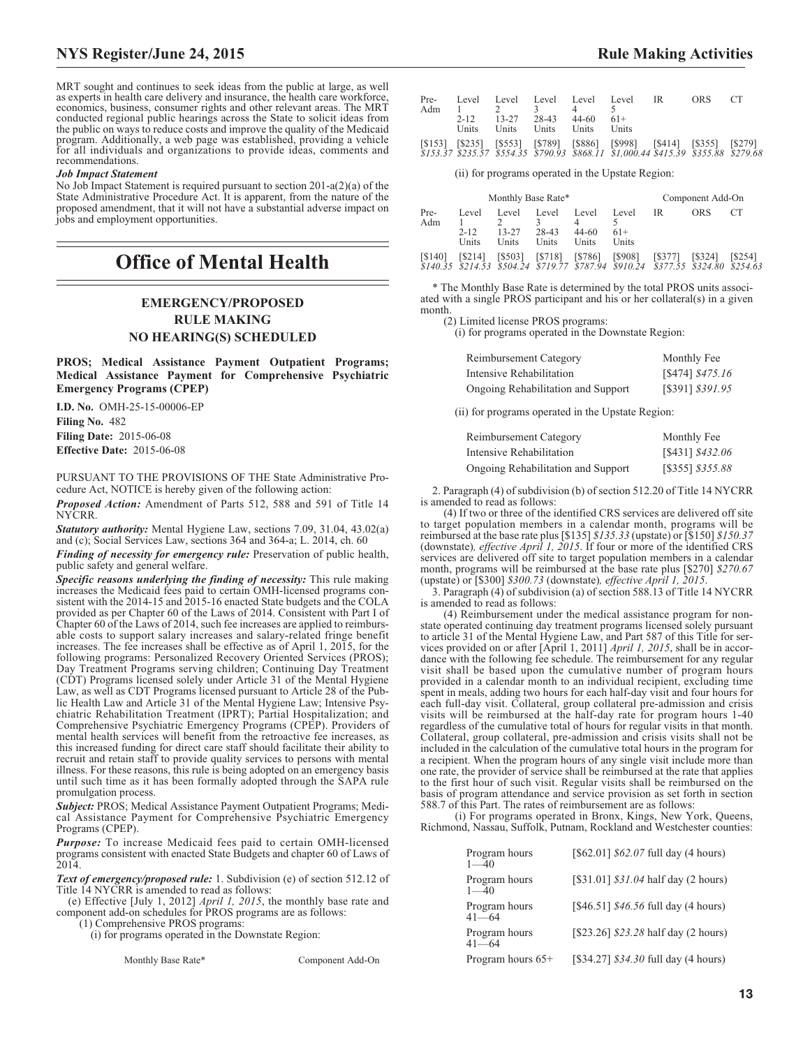MRT sought and continues to seek ideas from the public at large, as well as experts in health care delivery and insurance, the health care workforce, economics, business, consumer rights and other relevant areas. The MRT conducted regional public hearings across the State to solicit ideas from the public on ways to reduce costs and improve the quality of the Medicaid program. Additionally, a web page was established, providing a vehicle for all individuals and organizations to provide ideas, comments and recommendations.

## *Job Impact Statement*

No Job Impact Statement is required pursuant to section 201-a(2)(a) of the State Administrative Procedure Act. It is apparent, from the nature of the proposed amendment, that it will not have a substantial adverse impact on jobs and employment opportunities.

# **Office of Mental Health**

# **EMERGENCY/PROPOSED RULE MAKING**

**NO HEARING(S) SCHEDULED**

**PROS; Medical Assistance Payment Outpatient Programs; Medical Assistance Payment for Comprehensive Psychiatric Emergency Programs (CPEP)**

**I.D. No.** OMH-25-15-00006-EP

**Filing No.** 482

**Filing Date:** 2015-06-08 **Effective Date:** 2015-06-08

PURSUANT TO THE PROVISIONS OF THE State Administrative Procedure Act, NOTICE is hereby given of the following action:

*Proposed Action:* Amendment of Parts 512, 588 and 591 of Title 14 NYCRR.

*Statutory authority:* Mental Hygiene Law, sections 7.09, 31.04, 43.02(a) and (c); Social Services Law, sections 364 and 364-a; L. 2014, ch. 60

*Finding of necessity for emergency rule:* Preservation of public health, public safety and general welfare.

*Specific reasons underlying the finding of necessity:* This rule making increases the Medicaid fees paid to certain OMH-licensed programs consistent with the 2014-15 and 2015-16 enacted State budgets and the COLA provided as per Chapter 60 of the Laws of 2014. Consistent with Part I of Chapter 60 of the Laws of 2014, such fee increases are applied to reimbursable costs to support salary increases and salary-related fringe benefit increases. The fee increases shall be effective as of April 1, 2015, for the following programs: Personalized Recovery Oriented Services (PROS); Day Treatment Programs serving children; Continuing Day Treatment (CDT) Programs licensed solely under Article 31 of the Mental Hygiene Law, as well as CDT Programs licensed pursuant to Article 28 of the Public Health Law and Article 31 of the Mental Hygiene Law; Intensive Psychiatric Rehabilitation Treatment (IPRT); Partial Hospitalization; and Comprehensive Psychiatric Emergency Programs (CPEP). Providers of mental health services will benefit from the retroactive fee increases, as this increased funding for direct care staff should facilitate their ability to recruit and retain staff to provide quality services to persons with mental illness. For these reasons, this rule is being adopted on an emergency basis until such time as it has been formally adopted through the SAPA rule promulgation process.

*Subject:* PROS; Medical Assistance Payment Outpatient Programs; Medical Assistance Payment for Comprehensive Psychiatric Emergency Programs (CPEP).

*Purpose:* To increase Medicaid fees paid to certain OMH-licensed programs consistent with enacted State Budgets and chapter 60 of Laws of 2014.

*Text of emergency/proposed rule:* 1. Subdivision (e) of section 512.12 of Title 14 NYCRR is amended to read as follows:

(e) Effective [July 1, 2012] *April 1, 2015*, the monthly base rate and component add-on schedules for PROS programs are as follows:

(1) Comprehensive PROS programs:

(i) for programs operated in the Downstate Region:

Monthly Base Rate\* Component Add-On

| Pre-<br>Adm |                   |             | $\mathcal{R}$           |               | Level Level Level Level Level IR                                                                                                                              | ORS. | CT |
|-------------|-------------------|-------------|-------------------------|---------------|---------------------------------------------------------------------------------------------------------------------------------------------------------------|------|----|
|             | $2 - 12$<br>Units | 13-27 28-43 | Units Units Units Units | $44-60$ $61+$ |                                                                                                                                                               |      |    |
|             |                   |             |                         |               | [\$153] [\$235] [\$553] [\$789] [\$886] [\$998] [\$414] [\$355] [\$279]<br>\$153.37 \$235.57 \$554.35 \$790.93 \$868.11 \$1,000.44 \$415.39 \$355.88 \$279.68 |      |    |

(ii) for programs operated in the Upstate Region:

|             |                            | Monthly Base Rate*      |                         |                         |                                                                                             |         | Component Add-On |              |
|-------------|----------------------------|-------------------------|-------------------------|-------------------------|---------------------------------------------------------------------------------------------|---------|------------------|--------------|
| Pre-<br>Adm | Level<br>$2 - 12$<br>Units | Level<br>13-27<br>Units | Level<br>28-43<br>Units | Level<br>44-60<br>Units | Level<br>$61+$<br>Units                                                                     | IR      | ORS              |              |
| [\$140]     | [S214]                     | [\$503]                 | [\$718]                 | [\$786]                 | [\$908]<br>\$140.35 \$214.53 \$504.24 \$719.77 \$787.94 \$910.24 \$377.55 \$324.80 \$254.63 | [\$377] | [\$324]          | <b>S2541</b> |

\* The Monthly Base Rate is determined by the total PROS units associated with a single PROS participant and his or her collateral(s) in a given month.

(2) Limited license PROS programs:

(i) for programs operated in the Downstate Region:

| Reimbursement Category             | Monthly Fee      |
|------------------------------------|------------------|
| Intensive Rehabilitation           | [\$474] \$475.16 |
| Ongoing Rehabilitation and Support | [\$391] \$391.95 |

(ii) for programs operated in the Upstate Region:

| Reimbursement Category             | Monthly Fee      |
|------------------------------------|------------------|
| Intensive Rehabilitation           | [\$431] \$432.06 |
| Ongoing Rehabilitation and Support | [\$355] \$355.88 |

2. Paragraph (4) of subdivision (b) of section 512.20 of Title 14 NYCRR is amended to read as follows:

(4) If two or three of the identified CRS services are delivered off site to target population members in a calendar month, programs will be reimbursed at the base rate plus [\$135] *\$135.33* (upstate) or [\$150] *\$150.37* (downstate)*, effective April 1, 2015*. If four or more of the identified CRS services are delivered off site to target population members in a calendar month, programs will be reimbursed at the base rate plus [\$270] *\$270.67* (upstate) or [\$300] *\$300.73* (downstate)*, effective April 1, 2015*.

3. Paragraph (4) of subdivision (a) of section 588.13 of Title 14 NYCRR is amended to read as follows:

(4) Reimbursement under the medical assistance program for nonstate operated continuing day treatment programs licensed solely pursuant to article 31 of the Mental Hygiene Law, and Part 587 of this Title for services provided on or after [April 1, 2011] *April 1, 2015*, shall be in accordance with the following fee schedule. The reimbursement for any regular visit shall be based upon the cumulative number of program hours provided in a calendar month to an individual recipient, excluding time spent in meals, adding two hours for each half-day visit and four hours for each full-day visit. Collateral, group collateral pre-admission and crisis visits will be reimbursed at the half-day rate for program hours 1-40 regardless of the cumulative total of hours for regular visits in that month. Collateral, group collateral, pre-admission and crisis visits shall not be included in the calculation of the cumulative total hours in the program for a recipient. When the program hours of any single visit include more than one rate, the provider of service shall be reimbursed at the rate that applies to the first hour of such visit. Regular visits shall be reimbursed on the basis of program attendance and service provision as set forth in section 588.7 of this Part. The rates of reimbursement are as follows:

(i) For programs operated in Bronx, Kings, New York, Queens, Richmond, Nassau, Suffolk, Putnam, Rockland and Westchester counties:

| Program hours<br>$1 - 40$  | [ $$62.01] $62.07$ full day (4 hours) |
|----------------------------|---------------------------------------|
| Program hours<br>$1 - 40$  | [\$31.01] \$31.04 half day (2 hours)  |
| Program hours<br>$41 - 64$ | [\$46.51] $$46.56$ full day (4 hours) |
| Program hours<br>$41 - 64$ | [\$23.26] \$23.28 half day (2 hours)  |
| Program hours 65+          | $[$34.27] $34.30$ full day (4 hours)  |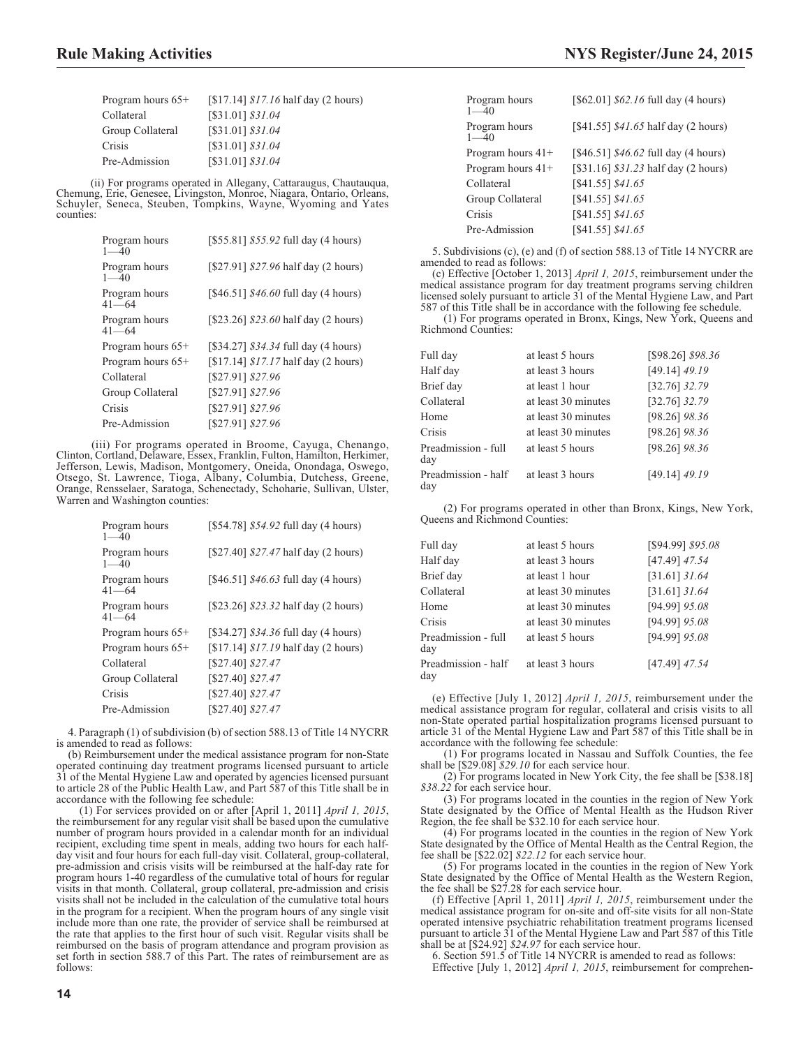| Program hours $65+$ | $[$17.14] $17.16$ half day (2 hours) |
|---------------------|--------------------------------------|
| Collateral          | [\$31.01] \$31.04                    |
| Group Collateral    | [\$31.01] \$31.04                    |
| Crisis              | [\$31.01] \$31.04                    |
| Pre-Admission       | [\$31.01] \$31.04                    |

(ii) For programs operated in Allegany, Cattaraugus, Chautauqua, Chemung, Erie, Genesee, Livingston, Monroe, Niagara, Ontario, Orleans, Schuyler, Seneca, Steuben, Tompkins, Wayne, Wyoming and Yates counties:

| Program hours<br>$1 - 40$  | [\$55.81] \$55.92 full day (4 hours)   |
|----------------------------|----------------------------------------|
| Program hours<br>$1 - 40$  | [\$27.91] \$27.96 half day (2 hours)   |
| Program hours<br>$41 - 64$ | [\$46.51] \$46.60 full day (4 hours)   |
| Program hours<br>$41 - 64$ | $[$23.26]$ $$23.60$ half day (2 hours) |
| Program hours $65+$        | $[$34.27] $34.34$ full day (4 hours)   |
| Program hours 65+          | $[$17.14] $17.17$ half day (2 hours)   |
| Collateral                 | [\$27.91] \$27.96                      |
| Group Collateral           | [\$27.91] \$27.96                      |
| Crisis                     | [\$27.91] \$27.96                      |
| Pre-Admission              | [\$27.91] \$27.96                      |

(iii) For programs operated in Broome, Cayuga, Chenango, Clinton, Cortland, Delaware, Essex, Franklin, Fulton, Hamilton, Herkimer, Jefferson, Lewis, Madison, Montgomery, Oneida, Onondaga, Oswego, Otsego, St. Lawrence, Tioga, Albany, Columbia, Dutchess, Greene, Orange, Rensselaer, Saratoga, Schenectady, Schoharie, Sullivan, Ulster, Warren and Washington counties:

| Program hours<br>$1 - 40$ | [\$54.78] \$54.92 full day (4 hours)     |
|---------------------------|------------------------------------------|
| Program hours<br>$1 - 40$ | $[$27.40]$ $$27.47$ half day (2 hours)   |
| Program hours<br>41—64    | [\$46.51] $$46.63$ full day (4 hours)    |
| Program hours<br>41—64    | [\$23.26] \$23.32 half day (2 hours)     |
| Program hours 65+         | [\$34.27] \$34.36 full day (4 hours)     |
| Program hours 65+         | [ $$17.14$ ] $$17.19$ half day (2 hours) |
| Collateral                | [\$27.40] \$27.47                        |
| Group Collateral          | [\$27.40] \$27.47                        |
| Crisis                    | [\$27.40] \$27.47                        |
| Pre-Admission             | [\$27.40] \$27.47                        |

4. Paragraph (1) of subdivision (b) of section 588.13 of Title 14 NYCRR is amended to read as follows:

(b) Reimbursement under the medical assistance program for non-State operated continuing day treatment programs licensed pursuant to article 31 of the Mental Hygiene Law and operated by agencies licensed pursuant to article 28 of the Public Health Law, and Part 587 of this Title shall be in accordance with the following fee schedule:

(1) For services provided on or after [April 1, 2011] *April 1, 2015*, the reimbursement for any regular visit shall be based upon the cumulative number of program hours provided in a calendar month for an individual recipient, excluding time spent in meals, adding two hours for each halfday visit and four hours for each full-day visit. Collateral, group-collateral, pre-admission and crisis visits will be reimbursed at the half-day rate for program hours 1-40 regardless of the cumulative total of hours for regular visits in that month. Collateral, group collateral, pre-admission and crisis visits shall not be included in the calculation of the cumulative total hours in the program for a recipient. When the program hours of any single visit include more than one rate, the provider of service shall be reimbursed at the rate that applies to the first hour of such visit. Regular visits shall be reimbursed on the basis of program attendance and program provision as set forth in section 588.7 of this Part. The rates of reimbursement are as follows:

| Program hours<br>$1 - 40$ | [ $$62.01] $62.16$ full day (4 hours) |
|---------------------------|---------------------------------------|
| Program hours<br>$1 - 40$ | [\$41.55] \$41.65 half day (2 hours)  |
| Program hours $41+$       | [\$46.51] $$46.62$ full day (4 hours) |
| Program hours $41+$       | [\$31.16] $$31.23$ half day (2 hours) |
| Collateral                | [\$41.55] \$41.65                     |
| Group Collateral          | [\$41.55] \$41.65                     |
| Crisis                    | $[S41.55]$ $$41.65$                   |
| Pre-Admission             | [\$41.55] \$41.65                     |

5. Subdivisions (c), (e) and (f) of section 588.13 of Title 14 NYCRR are amended to read as follows:

(c) Effective [October 1, 2013] *April 1, 2015*, reimbursement under the medical assistance program for day treatment programs serving children licensed solely pursuant to article 31 of the Mental Hygiene Law, and Part 587 of this Title shall be in accordance with the following fee schedule.

(1) For programs operated in Bronx, Kings, New York, Queens and Richmond Counties:

| Full dav                   | at least 5 hours    | [\$98.26] \$98.36 |
|----------------------------|---------------------|-------------------|
| Half day                   | at least 3 hours    | $[49.14]$ 49.19   |
| Brief day                  | at least 1 hour     | $[32.76]$ 32.79   |
| Collateral                 | at least 30 minutes | $[32.76]$ 32.79   |
| Home                       | at least 30 minutes | [98.26] 98.36     |
| Crisis                     | at least 30 minutes | [98.26] 98.36     |
| Preadmission - full<br>day | at least 5 hours    | $[98.26]$ $98.36$ |
| Preadmission - half<br>day | at least 3 hours    | $[49.14]$ 49.19   |

(2) For programs operated in other than Bronx, Kings, New York, Queens and Richmond Counties:

| Full dav                   | at least 5 hours    | [\$94.99] \$95.08 |
|----------------------------|---------------------|-------------------|
| Half day                   | at least 3 hours    | $[47.49]$ 47.54   |
| Brief day                  | at least 1 hour     | $[31.61]$ 31.64   |
| Collateral                 | at least 30 minutes | $[31.61]$ 31.64   |
| Home                       | at least 30 minutes | [94.99] 95.08     |
| Crisis                     | at least 30 minutes | [94.99] 95.08     |
| Preadmission - full<br>day | at least 5 hours    | [94.99] 95.08     |
| Preadmission - half<br>day | at least 3 hours    | $[47.49]$ 47.54   |

(e) Effective [July 1, 2012] *April 1, 2015*, reimbursement under the medical assistance program for regular, collateral and crisis visits to all non-State operated partial hospitalization programs licensed pursuant to article 31 of the Mental Hygiene Law and Part 587 of this Title shall be in accordance with the following fee schedule:

(1) For programs located in Nassau and Suffolk Counties, the fee shall be [\$29.08] *\$29.10* for each service hour.

(2) For programs located in New York City, the fee shall be [\$38.18] *\$38.22* for each service hour.

(3) For programs located in the counties in the region of New York State designated by the Office of Mental Health as the Hudson River Region, the fee shall be \$32.10 for each service hour.

(4) For programs located in the counties in the region of New York State designated by the Office of Mental Health as the Central Region, the fee shall be [\$22.02] *\$22.12* for each service hour.

(5) For programs located in the counties in the region of New York State designated by the Office of Mental Health as the Western Region, the fee shall be \$27.28 for each service hour.

(f) Effective [April 1, 2011] *April 1, 2015*, reimbursement under the medical assistance program for on-site and off-site visits for all non-State operated intensive psychiatric rehabilitation treatment programs licensed pursuant to article 31 of the Mental Hygiene Law and Part 587 of this Title shall be at [\$24.92] *\$24.97* for each service hour.

6. Section 591.5 of Title 14 NYCRR is amended to read as follows: Effective [July 1, 2012] *April 1, 2015*, reimbursement for comprehen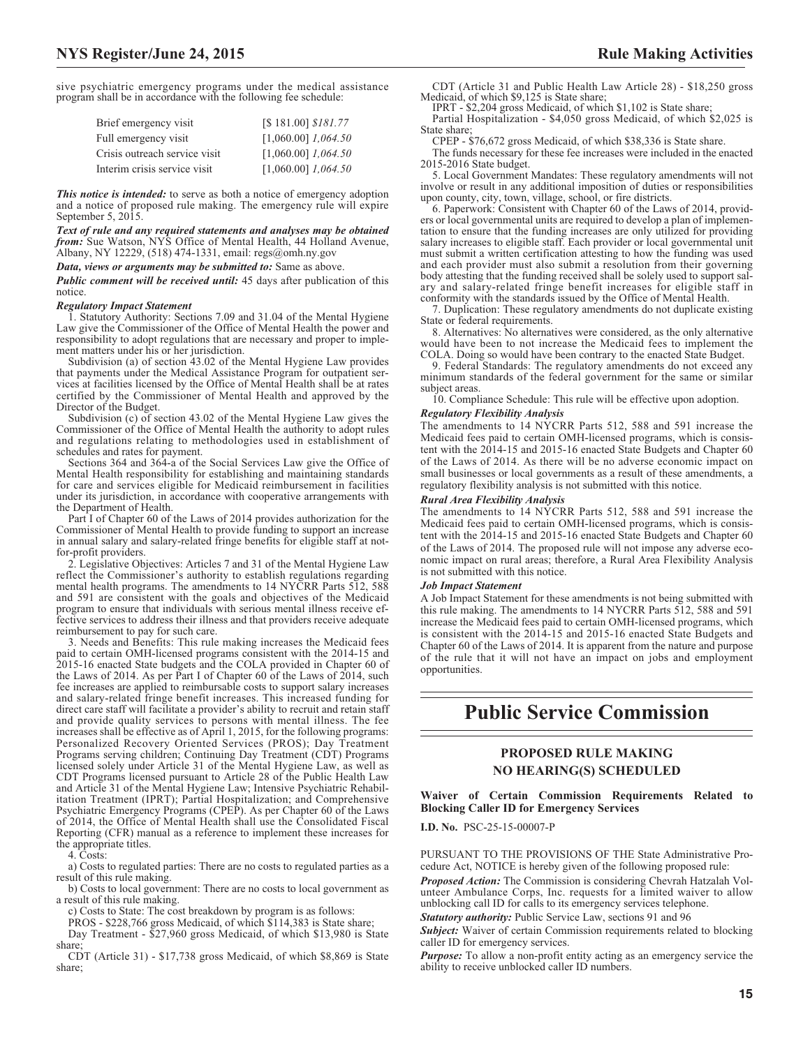sive psychiatric emergency programs under the medical assistance program shall be in accordance with the following fee schedule:

| Brief emergency visit         | [\$181.00] \$181.77     |
|-------------------------------|-------------------------|
| Full emergency visit          | $[1,060.00]$ $1,064.50$ |
| Crisis outreach service visit | $[1,060.00]$ $1,064.50$ |
| Interim crisis service visit  | $[1,060.00]$ $1,064.50$ |

*This notice is intended:* to serve as both a notice of emergency adoption and a notice of proposed rule making. The emergency rule will expire September 5, 2015.

*Text of rule and any required statements and analyses may be obtained from:* Sue Watson, NYS Office of Mental Health, 44 Holland Avenue, Albany, NY 12229, (518) 474-1331, email: [regs@omh.ny.gov](mailto: regs@omh.ny.gov)

*Data, views or arguments may be submitted to:* Same as above.

*Public comment will be received until:* 45 days after publication of this notice.

#### *Regulatory Impact Statement*

1. Statutory Authority: Sections 7.09 and 31.04 of the Mental Hygiene Law give the Commissioner of the Office of Mental Health the power and responsibility to adopt regulations that are necessary and proper to implement matters under his or her jurisdiction.

Subdivision (a) of section 43.02 of the Mental Hygiene Law provides that payments under the Medical Assistance Program for outpatient services at facilities licensed by the Office of Mental Health shall be at rates certified by the Commissioner of Mental Health and approved by the Director of the Budget.

Subdivision (c) of section 43.02 of the Mental Hygiene Law gives the Commissioner of the Office of Mental Health the authority to adopt rules and regulations relating to methodologies used in establishment of schedules and rates for payment.

Sections 364 and 364-a of the Social Services Law give the Office of Mental Health responsibility for establishing and maintaining standards for care and services eligible for Medicaid reimbursement in facilities under its jurisdiction, in accordance with cooperative arrangements with the Department of Health.

Part I of Chapter 60 of the Laws of 2014 provides authorization for the Commissioner of Mental Health to provide funding to support an increase in annual salary and salary-related fringe benefits for eligible staff at notfor-profit providers.

2. Legislative Objectives: Articles 7 and 31 of the Mental Hygiene Law reflect the Commissioner's authority to establish regulations regarding mental health programs. The amendments to 14 NYCRR Parts 512, 588 and 591 are consistent with the goals and objectives of the Medicaid program to ensure that individuals with serious mental illness receive effective services to address their illness and that providers receive adequate reimbursement to pay for such care.

3. Needs and Benefits: This rule making increases the Medicaid fees paid to certain OMH-licensed programs consistent with the 2014-15 and 2015-16 enacted State budgets and the COLA provided in Chapter 60 of the Laws of 2014. As per Part I of Chapter 60 of the Laws of 2014, such fee increases are applied to reimbursable costs to support salary increases and salary-related fringe benefit increases. This increased funding for direct care staff will facilitate a provider's ability to recruit and retain staff and provide quality services to persons with mental illness. The fee increases shall be effective as of April 1, 2015, for the following programs: Personalized Recovery Oriented Services (PROS); Day Treatment Programs serving children; Continuing Day Treatment (CDT) Programs licensed solely under Article 31 of the Mental Hygiene Law, as well as CDT Programs licensed pursuant to Article 28 of the Public Health Law and Article 31 of the Mental Hygiene Law; Intensive Psychiatric Rehabilitation Treatment (IPRT); Partial Hospitalization; and Comprehensive Psychiatric Emergency Programs (CPEP). As per Chapter 60 of the Laws of 2014, the Office of Mental Health shall use the Consolidated Fiscal Reporting (CFR) manual as a reference to implement these increases for the appropriate titles.

4. Costs:

a) Costs to regulated parties: There are no costs to regulated parties as a result of this rule making.

b) Costs to local government: There are no costs to local government as a result of this rule making.

c) Costs to State: The cost breakdown by program is as follows:

PROS - \$228,766 gross Medicaid, of which \$114,383 is State share;

Day Treatment - \$27,960 gross Medicaid, of which \$13,980 is State share;

CDT (Article 31) - \$17,738 gross Medicaid, of which \$8,869 is State share;

CDT (Article 31 and Public Health Law Article 28) - \$18,250 gross Medicaid, of which \$9,125 is State share;

IPRT - \$2,204 gross Medicaid, of which \$1,102 is State share;

Partial Hospitalization - \$4,050 gross Medicaid, of which \$2,025 is State share;

CPEP - \$76,672 gross Medicaid, of which \$38,336 is State share.

The funds necessary for these fee increases were included in the enacted 2015-2016 State budget.

5. Local Government Mandates: These regulatory amendments will not involve or result in any additional imposition of duties or responsibilities upon county, city, town, village, school, or fire districts.

6. Paperwork: Consistent with Chapter 60 of the Laws of 2014, providers or local governmental units are required to develop a plan of implementation to ensure that the funding increases are only utilized for providing salary increases to eligible staff. Each provider or local governmental unit must submit a written certification attesting to how the funding was used and each provider must also submit a resolution from their governing body attesting that the funding received shall be solely used to support salary and salary-related fringe benefit increases for eligible staff in conformity with the standards issued by the Office of Mental Health.

7. Duplication: These regulatory amendments do not duplicate existing State or federal requirements.

8. Alternatives: No alternatives were considered, as the only alternative would have been to not increase the Medicaid fees to implement the COLA. Doing so would have been contrary to the enacted State Budget.

9. Federal Standards: The regulatory amendments do not exceed any minimum standards of the federal government for the same or similar subject areas.

10. Compliance Schedule: This rule will be effective upon adoption.

# *Regulatory Flexibility Analysis*

The amendments to 14 NYCRR Parts 512, 588 and 591 increase the Medicaid fees paid to certain OMH-licensed programs, which is consistent with the 2014-15 and 2015-16 enacted State Budgets and Chapter 60 of the Laws of 2014. As there will be no adverse economic impact on small businesses or local governments as a result of these amendments, a regulatory flexibility analysis is not submitted with this notice.

#### *Rural Area Flexibility Analysis*

The amendments to 14 NYCRR Parts 512, 588 and 591 increase the Medicaid fees paid to certain OMH-licensed programs, which is consistent with the 2014-15 and 2015-16 enacted State Budgets and Chapter 60 of the Laws of 2014. The proposed rule will not impose any adverse economic impact on rural areas; therefore, a Rural Area Flexibility Analysis is not submitted with this notice.

#### *Job Impact Statement*

A Job Impact Statement for these amendments is not being submitted with this rule making. The amendments to 14 NYCRR Parts 512, 588 and 591 increase the Medicaid fees paid to certain OMH-licensed programs, which is consistent with the 2014-15 and 2015-16 enacted State Budgets and Chapter 60 of the Laws of 2014. It is apparent from the nature and purpose of the rule that it will not have an impact on jobs and employment opportunities.

# **Public Service Commission**

# **PROPOSED RULE MAKING NO HEARING(S) SCHEDULED**

**Waiver of Certain Commission Requirements Related to Blocking Caller ID for Emergency Services**

**I.D. No.** PSC-25-15-00007-P

PURSUANT TO THE PROVISIONS OF THE State Administrative Procedure Act, NOTICE is hereby given of the following proposed rule:

*Proposed Action:* The Commission is considering Chevrah Hatzalah Volunteer Ambulance Corps, Inc. requests for a limited waiver to allow unblocking call ID for calls to its emergency services telephone.

*Statutory authority:* Public Service Law, sections 91 and 96

**Subject:** Waiver of certain Commission requirements related to blocking caller ID for emergency services.

*Purpose:* To allow a non-profit entity acting as an emergency service the ability to receive unblocked caller ID numbers.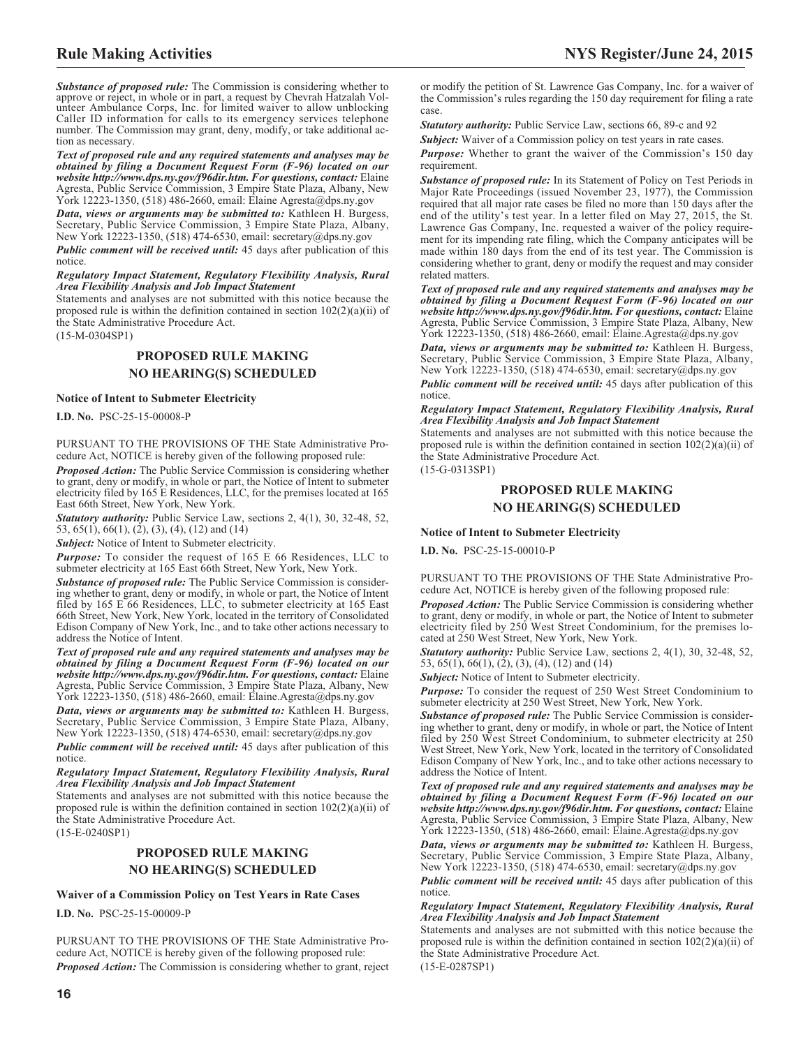*Substance of proposed rule:* The Commission is considering whether to approve or reject, in whole or in part, a request by Chevrah Hatzalah Volunteer Ambulance Corps, Inc. for limited waiver to allow unblocking Caller ID information for calls to its emergency services telephone number. The Commission may grant, deny, modify, or take additional action as necessary.

*Text of proposed rule and any required statements and analyses may be obtained by filing a Document Request Form (F-96) located on our website http://www.dps.ny.gov/f96dir.htm. For questions, contact:* Elaine Agresta, Public Service Commission, 3 Empire State Plaza, Albany, New York 12223-1350, (518) 486-2660, email: Elaine Agresta@dps.ny.gov

*Data, views or arguments may be submitted to:* Kathleen H. Burgess, Secretary, Public Service Commission, 3 Empire State Plaza, Albany, New York 12223-1350, (518) 474-6530, email: [secretary@dps.ny.gov](mailto: secretary@dps.ny.gov)

*Public comment will be received until:* 45 days after publication of this notice.

*Regulatory Impact Statement, Regulatory Flexibility Analysis, Rural Area Flexibility Analysis and Job Impact Statement*

Statements and analyses are not submitted with this notice because the proposed rule is within the definition contained in section  $102(2)(a)(ii)$  of the State Administrative Procedure Act.

(15-M-0304SP1)

# **PROPOSED RULE MAKING NO HEARING(S) SCHEDULED**

## **Notice of Intent to Submeter Electricity**

**I.D. No.** PSC-25-15-00008-P

PURSUANT TO THE PROVISIONS OF THE State Administrative Procedure Act, NOTICE is hereby given of the following proposed rule:

*Proposed Action:* The Public Service Commission is considering whether to grant, deny or modify, in whole or part, the Notice of Intent to submeter electricity filed by 165 E Residences, LLC, for the premises located at 165 East 66th Street, New York, New York.

*Statutory authority:* Public Service Law, sections 2, 4(1), 30, 32-48, 52, 53, 65(1), 66(1), (2), (3), (4), (12) and (14)

*Subject:* Notice of Intent to Submeter electricity.

*Purpose:* To consider the request of 165 E 66 Residences, LLC to submeter electricity at 165 East 66th Street, New York, New York.

*Substance of proposed rule:* The Public Service Commission is considering whether to grant, deny or modify, in whole or part, the Notice of Intent filed by 165 E 66 Residences, LLC, to submeter electricity at 165 East 66th Street, New York, New York, located in the territory of Consolidated Edison Company of New York, Inc., and to take other actions necessary to address the Notice of Intent.

*Text of proposed rule and any required statements and analyses may be obtained by filing a Document Request Form (F-96) located on our website http://www.dps.ny.gov/f96dir.htm. For questions, contact:* Elaine Agresta, Public Service Commission, 3 Empire State Plaza, Albany, New York 12223-1350, (518) 486-2660, email: Elaine.Agresta@dps.ny.gov

*Data, views or arguments may be submitted to:* Kathleen H. Burgess, Secretary, Public Service Commission, 3 Empire State Plaza, Albany, New York 12223-1350, (518) 474-6530, email: [secretary@dps.ny.gov](mailto: secretary@dps.ny.gov)

*Public comment will be received until:* 45 days after publication of this notice.

#### *Regulatory Impact Statement, Regulatory Flexibility Analysis, Rural Area Flexibility Analysis and Job Impact Statement*

Statements and analyses are not submitted with this notice because the proposed rule is within the definition contained in section 102(2)(a)(ii) of the State Administrative Procedure Act.

(15-E-0240SP1)

# **PROPOSED RULE MAKING NO HEARING(S) SCHEDULED**

## **Waiver of a Commission Policy on Test Years in Rate Cases**

**I.D. No.** PSC-25-15-00009-P

PURSUANT TO THE PROVISIONS OF THE State Administrative Procedure Act, NOTICE is hereby given of the following proposed rule: *Proposed Action:* The Commission is considering whether to grant, reject

or modify the petition of St. Lawrence Gas Company, Inc. for a waiver of the Commission's rules regarding the 150 day requirement for filing a rate case.

*Statutory authority:* Public Service Law, sections 66, 89-c and 92

**Subject:** Waiver of a Commission policy on test years in rate cases.

*Purpose:* Whether to grant the waiver of the Commission's 150 day requirement.

*Substance of proposed rule:* In its Statement of Policy on Test Periods in Major Rate Proceedings (issued November 23, 1977), the Commission required that all major rate cases be filed no more than 150 days after the end of the utility's test year. In a letter filed on May 27, 2015, the St. Lawrence Gas Company, Inc. requested a waiver of the policy requirement for its impending rate filing, which the Company anticipates will be made within 180 days from the end of its test year. The Commission is considering whether to grant, deny or modify the request and may consider related matters.

*Text of proposed rule and any required statements and analyses may be obtained by filing a Document Request Form (F-96) located on our website http://www.dps.ny.gov/f96dir.htm. For questions, contact:* Elaine Agresta, Public Service Commission, 3 Empire State Plaza, Albany, New York 12223-1350, (518) 486-2660, email: Elaine.Agresta@dps.ny.gov

*Data, views or arguments may be submitted to:* Kathleen H. Burgess, Secretary, Public Service Commission, 3 Empire State Plaza, Albany, New York 12223-1350, (518) 474-6530, email: [secretary@dps.ny.gov](mailto: secretary@dps.ny.gov)

*Public comment will be received until:* 45 days after publication of this notice.

*Regulatory Impact Statement, Regulatory Flexibility Analysis, Rural Area Flexibility Analysis and Job Impact Statement*

Statements and analyses are not submitted with this notice because the proposed rule is within the definition contained in section  $102(2)(a)(ii)$  of the State Administrative Procedure Act.

(15-G-0313SP1)

# **PROPOSED RULE MAKING NO HEARING(S) SCHEDULED**

## **Notice of Intent to Submeter Electricity**

**I.D. No.** PSC-25-15-00010-P

PURSUANT TO THE PROVISIONS OF THE State Administrative Procedure Act, NOTICE is hereby given of the following proposed rule:

*Proposed Action:* The Public Service Commission is considering whether to grant, deny or modify, in whole or part, the Notice of Intent to submeter electricity filed by 250 West Street Condominium, for the premises located at 250 West Street, New York, New York.

*Statutory authority:* Public Service Law, sections 2, 4(1), 30, 32-48, 52, 53, 65(1), 66(1), (2), (3), (4), (12) and (14)

**Subject:** Notice of Intent to Submeter electricity.

*Purpose:* To consider the request of 250 West Street Condominium to submeter electricity at 250 West Street, New York, New York.

*Substance of proposed rule:* The Public Service Commission is considering whether to grant, deny or modify, in whole or part, the Notice of Intent filed by 250 West Street Condominium, to submeter electricity at 250 West Street, New York, New York, located in the territory of Consolidated Edison Company of New York, Inc., and to take other actions necessary to address the Notice of Intent.

*Text of proposed rule and any required statements and analyses may be obtained by filing a Document Request Form (F-96) located on our website http://www.dps.ny.gov/f96dir.htm. For questions, contact:* Elaine Agresta, Public Service Commission, 3 Empire State Plaza, Albany, New York 12223-1350, (518) 486-2660, email: Elaine.Agresta@dps.ny.gov

*Data, views or arguments may be submitted to:* Kathleen H. Burgess, Secretary, Public Service Commission, 3 Empire State Plaza, Albany, New York 12223-1350, (518) 474-6530, email: [secretary@dps.ny.gov](mailto: secretary@dps.ny.gov)

*Public comment will be received until:* 45 days after publication of this notice.

#### *Regulatory Impact Statement, Regulatory Flexibility Analysis, Rural Area Flexibility Analysis and Job Impact Statement*

Statements and analyses are not submitted with this notice because the proposed rule is within the definition contained in section  $102(2)(a)(ii)$  of the State Administrative Procedure Act.

(15-E-0287SP1)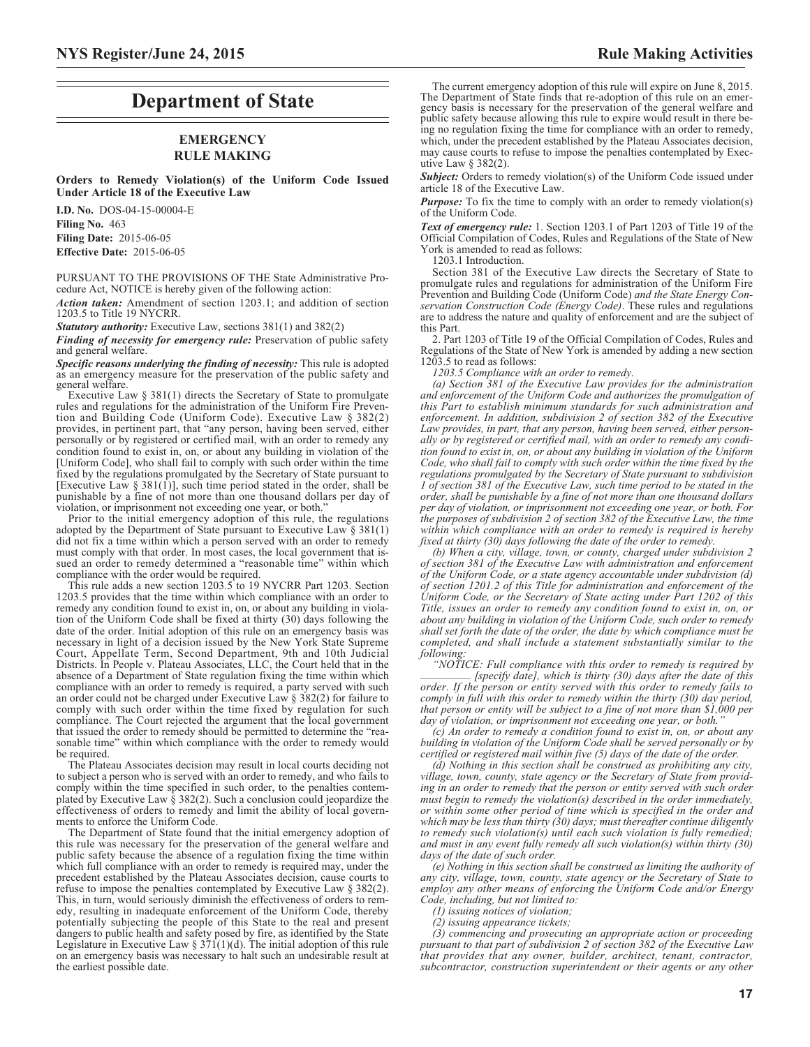# **Department of State**

# **EMERGENCY RULE MAKING**

**Orders to Remedy Violation(s) of the Uniform Code Issued Under Article 18 of the Executive Law**

**I.D. No.** DOS-04-15-00004-E **Filing No.** 463 **Filing Date:** 2015-06-05 **Effective Date:** 2015-06-05

PURSUANT TO THE PROVISIONS OF THE State Administrative Procedure Act, NOTICE is hereby given of the following action:

*Action taken:* Amendment of section 1203.1; and addition of section 1203.5 to Title 19 NYCRR.

*Statutory authority:* Executive Law, sections 381(1) and 382(2)

*Finding of necessity for emergency rule:* Preservation of public safety and general welfare.

*Specific reasons underlying the finding of necessity:* This rule is adopted as an emergency measure for the preservation of the public safety and general welfare.

Executive Law § 381(1) directs the Secretary of State to promulgate rules and regulations for the administration of the Uniform Fire Prevention and Building Code (Uniform Code). Executive Law § 382(2) provides, in pertinent part, that "any person, having been served, either personally or by registered or certified mail, with an order to remedy any condition found to exist in, on, or about any building in violation of the [Uniform Code], who shall fail to comply with such order within the time fixed by the regulations promulgated by the Secretary of State pursuant to [Executive Law  $\S 381(1)$ ], such time period stated in the order, shall be punishable by a fine of not more than one thousand dollars per day of violation, or imprisonment not exceeding one year, or both."

Prior to the initial emergency adoption of this rule, the regulations adopted by the Department of State pursuant to Executive Law  $\S 381(1)$ did not fix a time within which a person served with an order to remedy must comply with that order. In most cases, the local government that issued an order to remedy determined a "reasonable time" within which compliance with the order would be required.

This rule adds a new section 1203.5 to 19 NYCRR Part 1203. Section 1203.5 provides that the time within which compliance with an order to remedy any condition found to exist in, on, or about any building in violation of the Uniform Code shall be fixed at thirty (30) days following the date of the order. Initial adoption of this rule on an emergency basis was necessary in light of a decision issued by the New York State Supreme Court, Appellate Term, Second Department, 9th and 10th Judicial Districts. In People v. Plateau Associates, LLC, the Court held that in the absence of a Department of State regulation fixing the time within which compliance with an order to remedy is required, a party served with such an order could not be charged under Executive Law § 382(2) for failure to comply with such order within the time fixed by regulation for such compliance. The Court rejected the argument that the local government that issued the order to remedy should be permitted to determine the "reasonable time" within which compliance with the order to remedy would be required.

The Plateau Associates decision may result in local courts deciding not to subject a person who is served with an order to remedy, and who fails to comply within the time specified in such order, to the penalties contemplated by Executive Law  $\frac{2}{5}$  382(2). Such a conclusion could jeopardize the effectiveness of orders to remedy and limit the ability of local governments to enforce the Uniform Code.

The Department of State found that the initial emergency adoption of this rule was necessary for the preservation of the general welfare and public safety because the absence of a regulation fixing the time within which full compliance with an order to remedy is required may, under the precedent established by the Plateau Associates decision, cause courts to refuse to impose the penalties contemplated by Executive Law § 382(2). This, in turn, would seriously diminish the effectiveness of orders to remedy, resulting in inadequate enforcement of the Uniform Code, thereby potentially subjecting the people of this State to the real and present dangers to public health and safety posed by fire, as identified by the State Legislature in Executive Law §  $371(1)(d)$ . The initial adoption of this rule on an emergency basis was necessary to halt such an undesirable result at the earliest possible date.

The current emergency adoption of this rule will expire on June 8, 2015. The Department of State finds that re-adoption of this rule on an emergency basis is necessary for the preservation of the general welfare and public safety because allowing this rule to expire would result in there being no regulation fixing the time for compliance with an order to remedy, which, under the precedent established by the Plateau Associates decision, may cause courts to refuse to impose the penalties contemplated by Executive Law § 382(2).

**Subject:** Orders to remedy violation(s) of the Uniform Code issued under article 18 of the Executive Law.

*Purpose:* To fix the time to comply with an order to remedy violation(s) of the Uniform Code.

*Text of emergency rule:* 1. Section 1203.1 of Part 1203 of Title 19 of the Official Compilation of Codes, Rules and Regulations of the State of New York is amended to read as follows:

1203.1 Introduction.

Section 381 of the Executive Law directs the Secretary of State to promulgate rules and regulations for administration of the Uniform Fire Prevention and Building Code (Uniform Code) *and the State Energy Conservation Construction Code (Energy Code)*. These rules and regulations are to address the nature and quality of enforcement and are the subject of this Part.

2. Part 1203 of Title 19 of the Official Compilation of Codes, Rules and Regulations of the State of New York is amended by adding a new section  $1203.5$  to read as follows:

*1203.5 Compliance with an order to remedy.*

*(a) Section 381 of the Executive Law provides for the administration and enforcement of the Uniform Code and authorizes the promulgation of this Part to establish minimum standards for such administration and enforcement. In addition, subdivision 2 of section 382 of the Executive Law provides, in part, that any person, having been served, either personally or by registered or certified mail, with an order to remedy any condition found to exist in, on, or about any building in violation of the Uniform Code, who shall fail to comply with such order within the time fixed by the regulations promulgated by the Secretary of State pursuant to subdivision 1 of section 381 of the Executive Law, such time period to be stated in the order, shall be punishable by a fine of not more than one thousand dollars per day of violation, or imprisonment not exceeding one year, or both. For the purposes of subdivision 2 of section 382 of the Executive Law, the time within which compliance with an order to remedy is required is hereby fixed at thirty (30) days following the date of the order to remedy.*

*(b) When a city, village, town, or county, charged under subdivision 2 of section 381 of the Executive Law with administration and enforcement of the Uniform Code, or a state agency accountable under subdivision (d) of section 1201.2 of this Title for administration and enforcement of the Uniform Code, or the Secretary of State acting under Part 1202 of this Title, issues an order to remedy any condition found to exist in, on, or about any building in violation of the Uniform Code, such order to remedy shall set forth the date of the order, the date by which compliance must be completed, and shall include a statement substantially similar to the following:*

*"NOTICE: Full compliance with this order to remedy is required by [specify date], which is thirty (30) days after the date of this order. If the person or entity served with this order to remedy fails to comply in full with this order to remedy within the thirty (30) day period, that person or entity will be subject to a fine of not more than \$1,000 per* day of violation, or imprisonment not exceeding one year, or both.

*(c) An order to remedy a condition found to exist in, on, or about any building in violation of the Uniform Code shall be served personally or by certified or registered mail within five (5) days of the date of the order.*

*(d) Nothing in this section shall be construed as prohibiting any city, village, town, county, state agency or the Secretary of State from providing in an order to remedy that the person or entity served with such order must begin to remedy the violation(s) described in the order immediately, or within some other period of time which is specified in the order and which may be less than thirty (30) days; must thereafter continue diligently to remedy such violation(s) until each such violation is fully remedied; and must in any event fully remedy all such violation(s) within thirty (30) days of the date of such order.*

*(e) Nothing in this section shall be construed as limiting the authority of any city, village, town, county, state agency or the Secretary of State to employ any other means of enforcing the Uniform Code and/or Energy Code, including, but not limited to:*

*(1) issuing notices of violation;*

*(2) issuing appearance tickets;*

*(3) commencing and prosecuting an appropriate action or proceeding pursuant to that part of subdivision 2 of section 382 of the Executive Law that provides that any owner, builder, architect, tenant, contractor, subcontractor, construction superintendent or their agents or any other*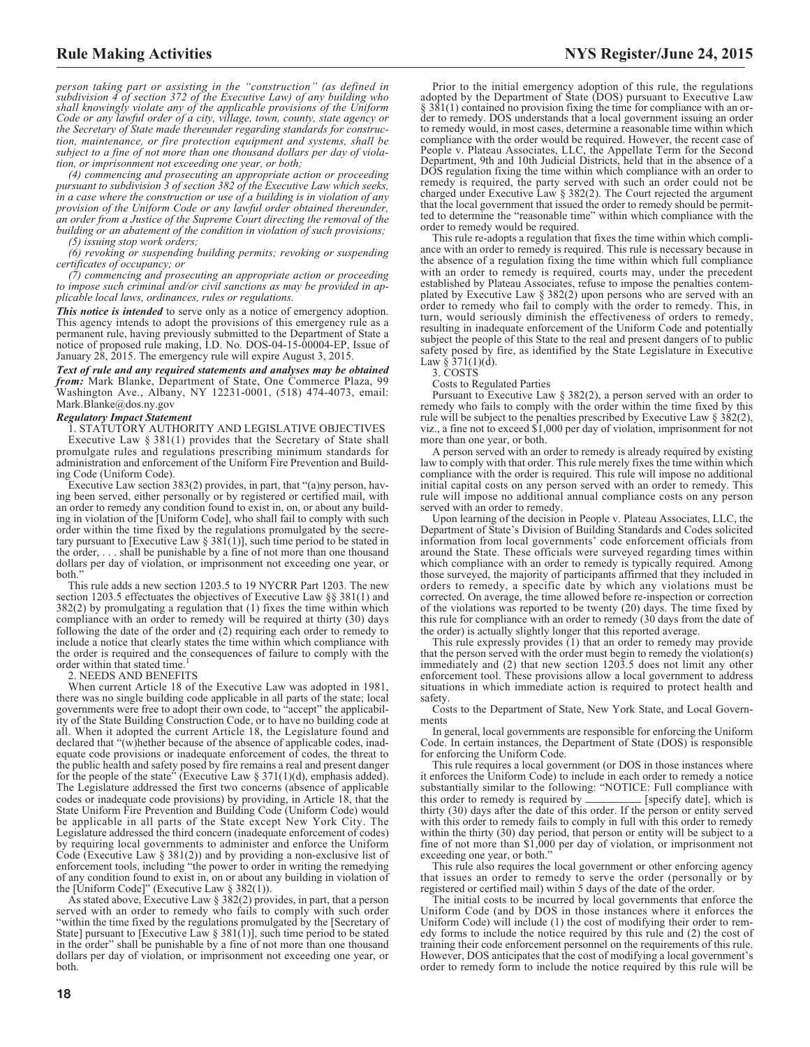*person taking part or assisting in the "construction" (as defined in subdivision 4 of section 372 of the Executive Law) of any building who shall knowingly violate any of the applicable provisions of the Uniform Code or any lawful order of a city, village, town, county, state agency or the Secretary of State made thereunder regarding standards for construction, maintenance, or fire protection equipment and systems, shall be subject to a fine of not more than one thousand dollars per day of violation, or imprisonment not exceeding one year, or both;*

*(4) commencing and prosecuting an appropriate action or proceeding pursuant to subdivision 3 of section 382 of the Executive Law which seeks, in a case where the construction or use of a building is in violation of any provision of the Uniform Code or any lawful order obtained thereunder, an order from a Justice of the Supreme Court directing the removal of the building or an abatement of the condition in violation of such provisions;*

*(5) issuing stop work orders;*

*(6) revoking or suspending building permits; revoking or suspending certificates of occupancy; or*

*(7) commencing and prosecuting an appropriate action or proceeding to impose such criminal and/or civil sanctions as may be provided in applicable local laws, ordinances, rules or regulations.*

*This notice is intended* to serve only as a notice of emergency adoption. This agency intends to adopt the provisions of this emergency rule as a permanent rule, having previously submitted to the Department of State a notice of proposed rule making, I.D. No. DOS-04-15-00004-EP, Issue of January 28, 2015. The emergency rule will expire August 3, 2015.

*Text of rule and any required statements and analyses may be obtained from:* Mark Blanke, Department of State, One Commerce Plaza, 99 Washington Ave., Albany, NY 12231-0001, (518) 474-4073, email: Mark.Blanke@dos.ny.gov

#### *Regulatory Impact Statement*

1. STATUTORY AUTHORITY AND LEGISLATIVE OBJECTIVES

Executive Law § 381(1) provides that the Secretary of State shall promulgate rules and regulations prescribing minimum standards for administration and enforcement of the Uniform Fire Prevention and Building Code (Uniform Code).

Executive Law section 383(2) provides, in part, that "(a)ny person, having been served, either personally or by registered or certified mail, with an order to remedy any condition found to exist in, on, or about any building in violation of the [Uniform Code], who shall fail to comply with such order within the time fixed by the regulations promulgated by the secretary pursuant to [Executive Law  $\S 381(1)$ ], such time period to be stated in the order,... shall be punishable by a fine of not more than one thousand dollars per day of violation, or imprisonment not exceeding one year, or both."

This rule adds a new section 1203.5 to 19 NYCRR Part 1203. The new section 1203.5 effectuates the objectives of Executive Law §§ 381(1) and 382(2) by promulgating a regulation that (1) fixes the time within which compliance with an order to remedy will be required at thirty (30) days following the date of the order and (2) requiring each order to remedy to include a notice that clearly states the time within which compliance with the order is required and the consequences of failure to comply with the order within that stated time.<sup>1</sup>

#### 2. NEEDS AND BENEFITS

When current Article 18 of the Executive Law was adopted in 1981, there was no single building code applicable in all parts of the state; local governments were free to adopt their own code, to "accept" the applicability of the State Building Construction Code, or to have no building code at all. When it adopted the current Article 18, the Legislature found and declared that "(w)hether because of the absence of applicable codes, inadequate code provisions or inadequate enforcement of codes, the threat to the public health and safety posed by fire remains a real and present danger for the people of the state" (Executive Law  $\S 371(1)(d)$ , emphasis added). The Legislature addressed the first two concerns (absence of applicable codes or inadequate code provisions) by providing, in Article 18, that the State Uniform Fire Prevention and Building Code (Uniform Code) would be applicable in all parts of the State except New York City. The Legislature addressed the third concern (inadequate enforcement of codes) by requiring local governments to administer and enforce the Uniform Code (Executive Law  $\S 381(2)$ ) and by providing a non-exclusive list of enforcement tools, including "the power to order in writing the remedying of any condition found to exist in, on or about any building in violation of the [Uniform Code]" (Executive Law  $\S 382(1)$ ).

As stated above, Executive Law  $\S 382(2)$  provides, in part, that a person served with an order to remedy who fails to comply with such order "within the time fixed by the regulations promulgated by the [Secretary of State] pursuant to [Executive Law  $\S 381(1)$ ], such time period to be stated in the order" shall be punishable by a fine of not more than one thousand dollars per day of violation, or imprisonment not exceeding one year, or both.

Prior to the initial emergency adoption of this rule, the regulations adopted by the Department of State (DOS) pursuant to Executive Law § 381(1) contained no provision fixing the time for compliance with an order to remedy. DOS understands that a local government issuing an order to remedy would, in most cases, determine a reasonable time within which compliance with the order would be required. However, the recent case of People v. Plateau Associates, LLC, the Appellate Term for the Second Department, 9th and 10th Judicial Districts, held that in the absence of a DOS regulation fixing the time within which compliance with an order to remedy is required, the party served with such an order could not be charged under Executive Law § 382(2). The Court rejected the argument that the local government that issued the order to remedy should be permitted to determine the "reasonable time" within which compliance with the order to remedy would be required.

This rule re-adopts a regulation that fixes the time within which compliance with an order to remedy is required. This rule is necessary because in the absence of a regulation fixing the time within which full compliance with an order to remedy is required, courts may, under the precedent established by Plateau Associates, refuse to impose the penalties contemplated by Executive Law § 382(2) upon persons who are served with an order to remedy who fail to comply with the order to remedy. This, in turn, would seriously diminish the effectiveness of orders to remedy, resulting in inadequate enforcement of the Uniform Code and potentially subject the people of this State to the real and present dangers of to public safety posed by fire, as identified by the State Legislature in Executive Law §  $371(1)(d)$ .

3. COSTS

Costs to Regulated Parties

Pursuant to Executive Law § 382(2), a person served with an order to remedy who fails to comply with the order within the time fixed by this rule will be subject to the penalties prescribed by Executive Law  $\S 3\82(2)$ , viz., a fine not to exceed \$1,000 per day of violation, imprisonment for not more than one year, or both.

A person served with an order to remedy is already required by existing law to comply with that order. This rule merely fixes the time within which compliance with the order is required. This rule will impose no additional initial capital costs on any person served with an order to remedy. This rule will impose no additional annual compliance costs on any person served with an order to remedy.

Upon learning of the decision in People v. Plateau Associates, LLC, the Department of State's Division of Building Standards and Codes solicited information from local governments' code enforcement officials from around the State. These officials were surveyed regarding times within which compliance with an order to remedy is typically required. Among those surveyed, the majority of participants affirmed that they included in orders to remedy, a specific date by which any violations must be corrected. On average, the time allowed before re-inspection or correction of the violations was reported to be twenty (20) days. The time fixed by this rule for compliance with an order to remedy (30 days from the date of the order) is actually slightly longer that this reported average.

This rule expressly provides  $(1)$  that an order to remedy may provide that the person served with the order must begin to remedy the violation(s) immediately and (2) that new section 1203.5 does not limit any other enforcement tool. These provisions allow a local government to address situations in which immediate action is required to protect health and safety.

Costs to the Department of State, New York State, and Local Governments

In general, local governments are responsible for enforcing the Uniform Code. In certain instances, the Department of State (DOS) is responsible for enforcing the Uniform Code.

This rule requires a local government (or DOS in those instances where it enforces the Uniform Code) to include in each order to remedy a notice substantially similar to the following: "NOTICE: Full compliance with this order to remedy is required by \_\_\_\_\_\_\_\_ [specify date], which is thirty (30) days after the date of this order. If the person or entity served with this order to remedy fails to comply in full with this order to remedy within the thirty (30) day period, that person or entity will be subject to a fine of not more than \$1,000 per day of violation, or imprisonment not exceeding one year, or both."

This rule also requires the local government or other enforcing agency that issues an order to remedy to serve the order (personally or by registered or certified mail) within 5 days of the date of the order.

The initial costs to be incurred by local governments that enforce the Uniform Code (and by DOS in those instances where it enforces the Uniform Code) will include (1) the cost of modifying their order to remedy forms to include the notice required by this rule and (2) the cost of training their code enforcement personnel on the requirements of this rule. However, DOS anticipates that the cost of modifying a local government's order to remedy form to include the notice required by this rule will be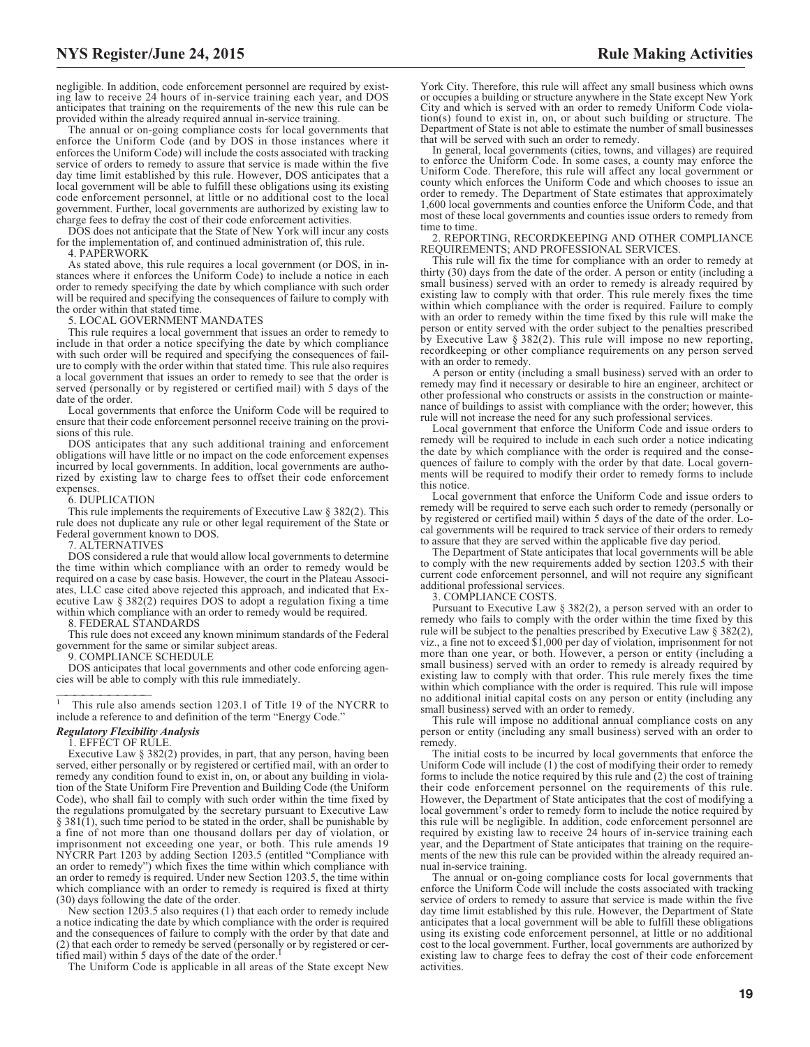negligible. In addition, code enforcement personnel are required by existing law to receive 24 hours of in-service training each year, and DOS anticipates that training on the requirements of the new this rule can be provided within the already required annual in-service training.

The annual or on-going compliance costs for local governments that enforce the Uniform Code (and by DOS in those instances where it enforces the Uniform Code) will include the costs associated with tracking service of orders to remedy to assure that service is made within the five day time limit established by this rule. However, DOS anticipates that a local government will be able to fulfill these obligations using its existing code enforcement personnel, at little or no additional cost to the local government. Further, local governments are authorized by existing law to charge fees to defray the cost of their code enforcement activities.

DOS does not anticipate that the State of New York will incur any costs for the implementation of, and continued administration of, this rule.

4. PAPERWORK

As stated above, this rule requires a local government (or DOS, in instances where it enforces the Uniform Code) to include a notice in each order to remedy specifying the date by which compliance with such order will be required and specifying the consequences of failure to comply with the order within that stated time.

5. LOCAL GOVERNMENT MANDATES

This rule requires a local government that issues an order to remedy to include in that order a notice specifying the date by which compliance with such order will be required and specifying the consequences of failure to comply with the order within that stated time. This rule also requires a local government that issues an order to remedy to see that the order is served (personally or by registered or certified mail) with 5 days of the date of the order.

Local governments that enforce the Uniform Code will be required to ensure that their code enforcement personnel receive training on the provisions of this rule.

DOS anticipates that any such additional training and enforcement obligations will have little or no impact on the code enforcement expenses incurred by local governments. In addition, local governments are authorized by existing law to charge fees to offset their code enforcement expenses.

#### 6. DUPLICATION

This rule implements the requirements of Executive Law  $\S 382(2)$ . This rule does not duplicate any rule or other legal requirement of the State or Federal government known to DOS.

7. ALTERNATIVES

DOS considered a rule that would allow local governments to determine the time within which compliance with an order to remedy would be required on a case by case basis. However, the court in the Plateau Associates, LLC case cited above rejected this approach, and indicated that Executive Law § 382(2) requires DOS to adopt a regulation fixing a time within which compliance with an order to remedy would be required.

8. FEDERAL STANDARDS

This rule does not exceed any known minimum standards of the Federal government for the same or similar subject areas.

9. COMPLIANCE SCHEDULE

DOS anticipates that local governments and other code enforcing agencies will be able to comply with this rule immediately.

This rule also amends section 1203.1 of Title 19 of the NYCRR to include a reference to and definition of the term "Energy Code."

#### *Regulatory Flexibility Analysis*

1. EFFECT OF RULE.

Executive Law § 382(2) provides, in part, that any person, having been served, either personally or by registered or certified mail, with an order to remedy any condition found to exist in, on, or about any building in violation of the State Uniform Fire Prevention and Building Code (the Uniform Code), who shall fail to comply with such order within the time fixed by the regulations promulgated by the secretary pursuant to Executive Law § 381(1), such time period to be stated in the order, shall be punishable by a fine of not more than one thousand dollars per day of violation, or imprisonment not exceeding one year, or both. This rule amends 19 NYCRR Part 1203 by adding Section 1203.5 (entitled "Compliance with an order to remedy") which fixes the time within which compliance with an order to remedy is required. Under new Section 1203.5, the time within which compliance with an order to remedy is required is fixed at thirty (30) days following the date of the order.

New section  $12\overline{0}3.5$  also requires (1) that each order to remedy include a notice indicating the date by which compliance with the order is required and the consequences of failure to comply with the order by that date and (2) that each order to remedy be served (personally or by registered or cer $t$ ified mail) within 5 days of the date of the order.

The Uniform Code is applicable in all areas of the State except New

York City. Therefore, this rule will affect any small business which owns or occupies a building or structure anywhere in the State except New York City and which is served with an order to remedy Uniform Code violation(s) found to exist in, on, or about such building or structure. The Department of State is not able to estimate the number of small businesses that will be served with such an order to remedy.

In general, local governments (cities, towns, and villages) are required to enforce the Uniform Code. In some cases, a county may enforce the Uniform Code. Therefore, this rule will affect any local government or county which enforces the Uniform Code and which chooses to issue an order to remedy. The Department of State estimates that approximately 1,600 local governments and counties enforce the Uniform Code, and that most of these local governments and counties issue orders to remedy from time to time.

2. REPORTING, RECORDKEEPING AND OTHER COMPLIANCE REQUIREMENTS; AND PROFESSIONAL SERVICES.

This rule will fix the time for compliance with an order to remedy at thirty (30) days from the date of the order. A person or entity (including a small business) served with an order to remedy is already required by existing law to comply with that order. This rule merely fixes the time within which compliance with the order is required. Failure to comply with an order to remedy within the time fixed by this rule will make the person or entity served with the order subject to the penalties prescribed by Executive Law § 382(2). This rule will impose no new reporting, recordkeeping or other compliance requirements on any person served with an order to remedy.

A person or entity (including a small business) served with an order to remedy may find it necessary or desirable to hire an engineer, architect or other professional who constructs or assists in the construction or maintenance of buildings to assist with compliance with the order; however, this rule will not increase the need for any such professional services.

Local government that enforce the Uniform Code and issue orders to remedy will be required to include in each such order a notice indicating the date by which compliance with the order is required and the consequences of failure to comply with the order by that date. Local governments will be required to modify their order to remedy forms to include this notice.

Local government that enforce the Uniform Code and issue orders to remedy will be required to serve each such order to remedy (personally or by registered or certified mail) within 5 days of the date of the order. Local governments will be required to track service of their orders to remedy to assure that they are served within the applicable five day period.

The Department of State anticipates that local governments will be able to comply with the new requirements added by section 1203.5 with their current code enforcement personnel, and will not require any significant additional professional services.

3. COMPLIANCE COSTS.

Pursuant to Executive Law § 382(2), a person served with an order to remedy who fails to comply with the order within the time fixed by this rule will be subject to the penalties prescribed by Executive Law § 382(2), viz., a fine not to exceed \$1,000 per day of violation, imprisonment for not more than one year, or both. However, a person or entity (including a small business) served with an order to remedy is already required by existing law to comply with that order. This rule merely fixes the time within which compliance with the order is required. This rule will impose no additional initial capital costs on any person or entity (including any small business) served with an order to remedy.

This rule will impose no additional annual compliance costs on any person or entity (including any small business) served with an order to remedy.

The initial costs to be incurred by local governments that enforce the Uniform Code will include (1) the cost of modifying their order to remedy forms to include the notice required by this rule and (2) the cost of training their code enforcement personnel on the requirements of this rule. However, the Department of State anticipates that the cost of modifying a local government's order to remedy form to include the notice required by this rule will be negligible. In addition, code enforcement personnel are required by existing law to receive 24 hours of in-service training each year, and the Department of State anticipates that training on the requirements of the new this rule can be provided within the already required annual in-service training.

The annual or on-going compliance costs for local governments that enforce the Uniform Code will include the costs associated with tracking service of orders to remedy to assure that service is made within the five day time limit established by this rule. However, the Department of State anticipates that a local government will be able to fulfill these obligations using its existing code enforcement personnel, at little or no additional cost to the local government. Further, local governments are authorized by existing law to charge fees to defray the cost of their code enforcement activities.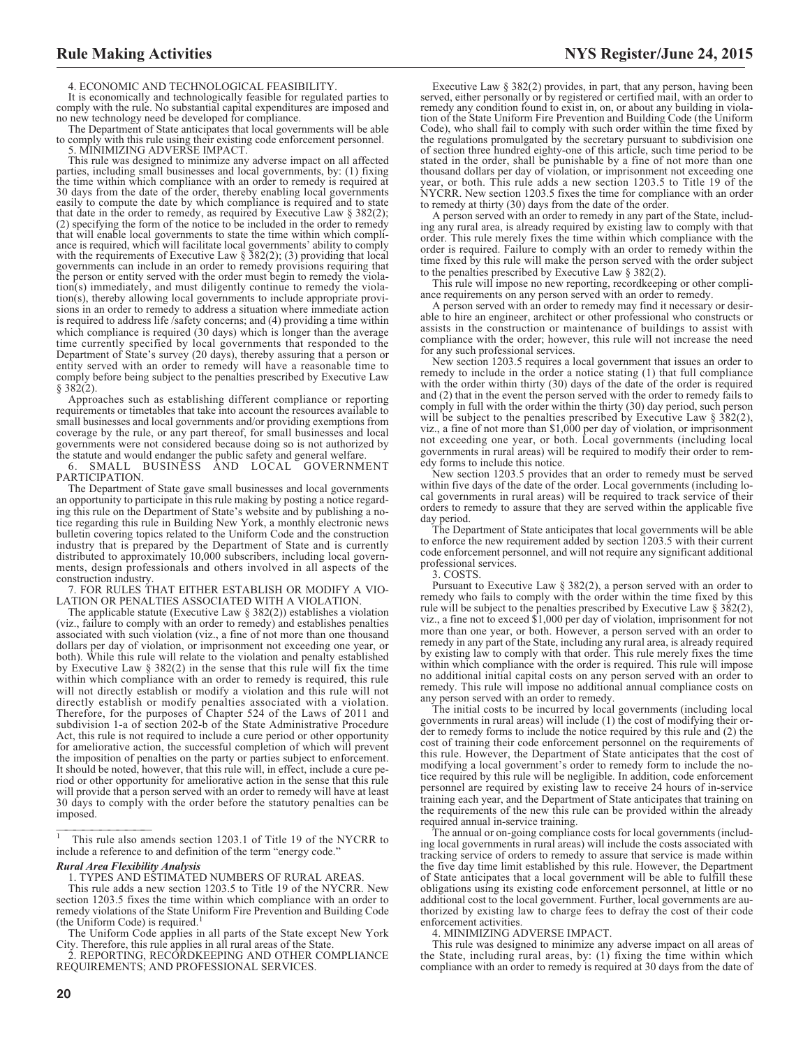4. ECONOMIC AND TECHNOLOGICAL FEASIBILITY.

It is economically and technologically feasible for regulated parties to comply with the rule. No substantial capital expenditures are imposed and no new technology need be developed for compliance.

The Department of State anticipates that local governments will be able to comply with this rule using their existing code enforcement personnel.

5. MINIMIZING ADVERSE IMPACT.

This rule was designed to minimize any adverse impact on all affected parties, including small businesses and local governments, by: (1) fixing the time within which compliance with an order to remedy is required at 30 days from the date of the order, thereby enabling local governments easily to compute the date by which compliance is required and to state that date in the order to remedy, as required by Executive Law § 382(2); (2) specifying the form of the notice to be included in the order to remedy that will enable local governments to state the time within which compliance is required, which will facilitate local governments' ability to comply with the requirements of Executive Law § 382(2); (3) providing that local governments can include in an order to remedy provisions requiring that the person or entity served with the order must begin to remedy the violation(s) immediately, and must diligently continue to remedy the violation(s), thereby allowing local governments to include appropriate provisions in an order to remedy to address a situation where immediate action is required to address life /safety concerns; and (4) providing a time within which compliance is required (30 days) which is longer than the average time currently specified by local governments that responded to the Department of State's survey (20 days), thereby assuring that a person or entity served with an order to remedy will have a reasonable time to comply before being subject to the penalties prescribed by Executive Law  $§ 382(2).$ 

Approaches such as establishing different compliance or reporting requirements or timetables that take into account the resources available to small businesses and local governments and/or providing exemptions from coverage by the rule, or any part thereof, for small businesses and local governments were not considered because doing so is not authorized by the statute and would endanger the public safety and general welfare.

6. SMALL BUSINESS AND LOCAL GOVERNMENT PARTICIPATION.

The Department of State gave small businesses and local governments an opportunity to participate in this rule making by posting a notice regarding this rule on the Department of State's website and by publishing a notice regarding this rule in Building New York, a monthly electronic news bulletin covering topics related to the Uniform Code and the construction industry that is prepared by the Department of State and is currently distributed to approximately 10,000 subscribers, including local governments, design professionals and others involved in all aspects of the construction industry.

7. FOR RULES THAT EITHER ESTABLISH OR MODIFY A VIO-LATION OR PENALTIES ASSOCIATED WITH A VIOLATION.

The applicable statute (Executive Law  $\S 382(2)$ ) establishes a violation (viz., failure to comply with an order to remedy) and establishes penalties associated with such violation (viz., a fine of not more than one thousand dollars per day of violation, or imprisonment not exceeding one year, or both). While this rule will relate to the violation and penalty established by Executive Law § 382(2) in the sense that this rule will fix the time within which compliance with an order to remedy is required, this rule will not directly establish or modify a violation and this rule will not directly establish or modify penalties associated with a violation. Therefore, for the purposes of Chapter 524 of the Laws of 2011 and subdivision 1-a of section 202-b of the State Administrative Procedure Act, this rule is not required to include a cure period or other opportunity for ameliorative action, the successful completion of which will prevent the imposition of penalties on the party or parties subject to enforcement. It should be noted, however, that this rule will, in effect, include a cure period or other opportunity for ameliorative action in the sense that this rule will provide that a person served with an order to remedy will have at least 30 days to comply with the order before the statutory penalties can be imposed.

#### *Rural Area Flexibility Analysis*

1. TYPES AND ESTIMATED NUMBERS OF RURAL AREAS.

This rule adds a new section 1203.5 to Title 19 of the NYCRR. New section 1203.5 fixes the time within which compliance with an order to remedy violations of the State Uniform Fire Prevention and Building Code (the Uniform Code) is required.<sup>1</sup>

The Uniform Code applies in all parts of the State except New York City. Therefore, this rule applies in all rural areas of the State.

2. REPORTING, RECORDKEEPING AND OTHER COMPLIANCE REQUIREMENTS; AND PROFESSIONAL SERVICES.

Executive Law § 382(2) provides, in part, that any person, having been served, either personally or by registered or certified mail, with an order to remedy any condition found to exist in, on, or about any building in violation of the State Uniform Fire Prevention and Building Code (the Uniform Code), who shall fail to comply with such order within the time fixed by the regulations promulgated by the secretary pursuant to subdivision one of section three hundred eighty-one of this article, such time period to be stated in the order, shall be punishable by a fine of not more than one thousand dollars per day of violation, or imprisonment not exceeding one year, or both. This rule adds a new section 1203.5 to Title 19 of the NYCRR. New section 1203.5 fixes the time for compliance with an order to remedy at thirty (30) days from the date of the order.

A person served with an order to remedy in any part of the State, including any rural area, is already required by existing law to comply with that order. This rule merely fixes the time within which compliance with the order is required. Failure to comply with an order to remedy within the time fixed by this rule will make the person served with the order subject to the penalties prescribed by Executive Law § 382(2).

This rule will impose no new reporting, recordkeeping or other compliance requirements on any person served with an order to remedy.

A person served with an order to remedy may find it necessary or desirable to hire an engineer, architect or other professional who constructs or assists in the construction or maintenance of buildings to assist with compliance with the order; however, this rule will not increase the need for any such professional services.

New section 1203.5 requires a local government that issues an order to remedy to include in the order a notice stating (1) that full compliance with the order within thirty (30) days of the date of the order is required and (2) that in the event the person served with the order to remedy fails to comply in full with the order within the thirty (30) day period, such person will be subject to the penalties prescribed by Executive Law  $\S$  382(2), viz., a fine of not more than \$1,000 per day of violation, or imprisonment not exceeding one year, or both. Local governments (including local governments in rural areas) will be required to modify their order to remedy forms to include this notice.

New section 1203.5 provides that an order to remedy must be served within five days of the date of the order. Local governments (including local governments in rural areas) will be required to track service of their orders to remedy to assure that they are served within the applicable five day period.

The Department of State anticipates that local governments will be able to enforce the new requirement added by section 1203.5 with their current code enforcement personnel, and will not require any significant additional professional services.

3. COSTS.

Pursuant to Executive Law § 382(2), a person served with an order to remedy who fails to comply with the order within the time fixed by this rule will be subject to the penalties prescribed by Executive Law § 382(2), viz., a fine not to exceed \$1,000 per day of violation, imprisonment for not more than one year, or both. However, a person served with an order to remedy in any part of the State, including any rural area, is already required by existing law to comply with that order. This rule merely fixes the time within which compliance with the order is required. This rule will impose no additional initial capital costs on any person served with an order to remedy. This rule will impose no additional annual compliance costs on any person served with an order to remedy.

The initial costs to be incurred by local governments (including local governments in rural areas) will include (1) the cost of modifying their order to remedy forms to include the notice required by this rule and (2) the cost of training their code enforcement personnel on the requirements of this rule. However, the Department of State anticipates that the cost of modifying a local government's order to remedy form to include the notice required by this rule will be negligible. In addition, code enforcement personnel are required by existing law to receive 24 hours of in-service training each year, and the Department of State anticipates that training on the requirements of the new this rule can be provided within the already required annual in-service training.

The annual or on-going compliance costs for local governments (including local governments in rural areas) will include the costs associated with tracking service of orders to remedy to assure that service is made within the five day time limit established by this rule. However, the Department of State anticipates that a local government will be able to fulfill these obligations using its existing code enforcement personnel, at little or no additional cost to the local government. Further, local governments are authorized by existing law to charge fees to defray the cost of their code enforcement activities.

4. MINIMIZING ADVERSE IMPACT.

This rule was designed to minimize any adverse impact on all areas of the State, including rural areas, by: (1) fixing the time within which compliance with an order to remedy is required at 30 days from the date of

This rule also amends section 1203.1 of Title 19 of the NYCRR to include a reference to and definition of the term "energy code."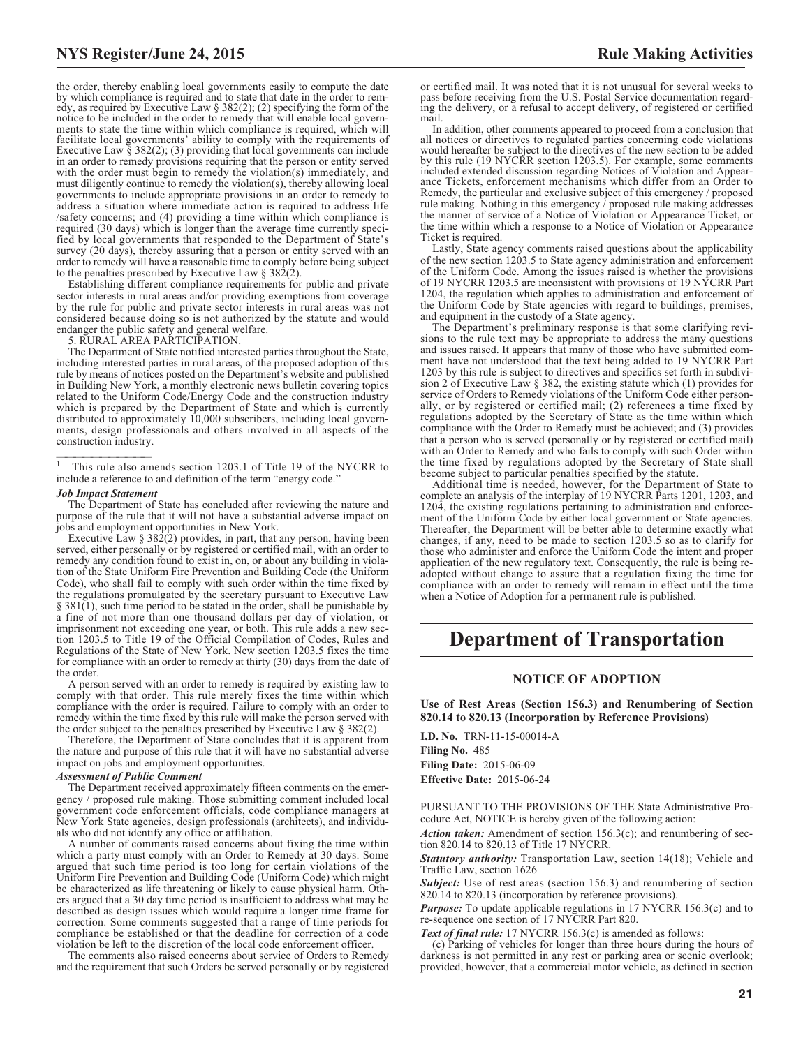the order, thereby enabling local governments easily to compute the date by which compliance is required and to state that date in the order to remedy, as required by Executive Law § 382(2); (2) specifying the form of the notice to be included in the order to remedy that will enable local governments to state the time within which compliance is required, which will facilitate local governments' ability to comply with the requirements of Executive Law  $\S$  382(2); (3) providing that local governments can include in an order to remedy provisions requiring that the person or entity served with the order must begin to remedy the violation(s) immediately, and must diligently continue to remedy the violation(s), thereby allowing local governments to include appropriate provisions in an order to remedy to address a situation where immediate action is required to address life /safety concerns; and (4) providing a time within which compliance is required (30 days) which is longer than the average time currently specified by local governments that responded to the Department of State's survey (20 days), thereby assuring that a person or entity served with an order to remedy will have a reasonable time to comply before being subject to the penalties prescribed by Executive Law § 382(2).

Establishing different compliance requirements for public and private sector interests in rural areas and/or providing exemptions from coverage by the rule for public and private sector interests in rural areas was not considered because doing so is not authorized by the statute and would endanger the public safety and general welfare.

5. RURAL AREA PARTICIPATION.

The Department of State notified interested parties throughout the State, including interested parties in rural areas, of the proposed adoption of this rule by means of notices posted on the Department's website and published in Building New York, a monthly electronic news bulletin covering topics related to the Uniform Code/Energy Code and the construction industry which is prepared by the Department of State and which is currently distributed to approximately 10,000 subscribers, including local governments, design professionals and others involved in all aspects of the construction industry.

<sup>1</sup> This rule also amends section 1203.1 of Title 19 of the NYCRR to include a reference to and definition of the term "energy code."

#### *Job Impact Statement*

The Department of State has concluded after reviewing the nature and purpose of the rule that it will not have a substantial adverse impact on jobs and employment opportunities in New York.

Executive Law § 382(2) provides, in part, that any person, having been served, either personally or by registered or certified mail, with an order to remedy any condition found to exist in, on, or about any building in violation of the State Uniform Fire Prevention and Building Code (the Uniform Code), who shall fail to comply with such order within the time fixed by the regulations promulgated by the secretary pursuant to Executive Law § 381(1), such time period to be stated in the order, shall be punishable by a fine of not more than one thousand dollars per day of violation, or imprisonment not exceeding one year, or both. This rule adds a new section 1203.5 to Title 19 of the Official Compilation of Codes, Rules and Regulations of the State of New York. New section 1203.5 fixes the time for compliance with an order to remedy at thirty (30) days from the date of the order.

A person served with an order to remedy is required by existing law to comply with that order. This rule merely fixes the time within which compliance with the order is required. Failure to comply with an order to remedy within the time fixed by this rule will make the person served with the order subject to the penalties prescribed by Executive Law  $\S 382(2)$ .

Therefore, the Department of State concludes that it is apparent from the nature and purpose of this rule that it will have no substantial adverse impact on jobs and employment opportunities.

#### *Assessment of Public Comment*

The Department received approximately fifteen comments on the emergency / proposed rule making. Those submitting comment included local government code enforcement officials, code compliance managers at New York State agencies, design professionals (architects), and individuals who did not identify any office or affiliation.

A number of comments raised concerns about fixing the time within which a party must comply with an Order to Remedy at 30 days. Some argued that such time period is too long for certain violations of the Uniform Fire Prevention and Building Code (Uniform Code) which might be characterized as life threatening or likely to cause physical harm. Others argued that a 30 day time period is insufficient to address what may be described as design issues which would require a longer time frame for correction. Some comments suggested that a range of time periods for compliance be established or that the deadline for correction of a code violation be left to the discretion of the local code enforcement officer.

The comments also raised concerns about service of Orders to Remedy and the requirement that such Orders be served personally or by registered

or certified mail. It was noted that it is not unusual for several weeks to pass before receiving from the U.S. Postal Service documentation regarding the delivery, or a refusal to accept delivery, of registered or certified mail.

In addition, other comments appeared to proceed from a conclusion that all notices or directives to regulated parties concerning code violations would hereafter be subject to the directives of the new section to be added by this rule (19 NYCRR section 1203.5). For example, some comments included extended discussion regarding Notices of Violation and Appearance Tickets, enforcement mechanisms which differ from an Order to Remedy, the particular and exclusive subject of this emergency / proposed rule making. Nothing in this emergency / proposed rule making addresses the manner of service of a Notice of Violation or Appearance Ticket, or the time within which a response to a Notice of Violation or Appearance Ticket is required.

Lastly, State agency comments raised questions about the applicability of the new section 1203.5 to State agency administration and enforcement of the Uniform Code. Among the issues raised is whether the provisions of 19 NYCRR 1203.5 are inconsistent with provisions of 19 NYCRR Part 1204, the regulation which applies to administration and enforcement of the Uniform Code by State agencies with regard to buildings, premises, and equipment in the custody of a State agency.

The Department's preliminary response is that some clarifying revisions to the rule text may be appropriate to address the many questions and issues raised. It appears that many of those who have submitted comment have not understood that the text being added to 19 NYCRR Part 1203 by this rule is subject to directives and specifics set forth in subdivision 2 of Executive Law § 382, the existing statute which (1) provides for service of Orders to Remedy violations of the Uniform Code either personally, or by registered or certified mail; (2) references a time fixed by regulations adopted by the Secretary of State as the time within which compliance with the Order to Remedy must be achieved; and (3) provides that a person who is served (personally or by registered or certified mail) with an Order to Remedy and who fails to comply with such Order within the time fixed by regulations adopted by the Secretary of State shall become subject to particular penalties specified by the statute.

Additional time is needed, however, for the Department of State to complete an analysis of the interplay of 19 NYCRR Parts 1201, 1203, and 1204, the existing regulations pertaining to administration and enforcement of the Uniform Code by either local government or State agencies. Thereafter, the Department will be better able to determine exactly what changes, if any, need to be made to section 1203.5 so as to clarify for those who administer and enforce the Uniform Code the intent and proper application of the new regulatory text. Consequently, the rule is being readopted without change to assure that a regulation fixing the time for compliance with an order to remedy will remain in effect until the time when a Notice of Adoption for a permanent rule is published.

# **Department of Transportation**

#### **NOTICE OF ADOPTION**

**Use of Rest Areas (Section 156.3) and Renumbering of Section 820.14 to 820.13 (Incorporation by Reference Provisions)**

**I.D. No.** TRN-11-15-00014-A **Filing No.** 485 **Filing Date:** 2015-06-09 **Effective Date:** 2015-06-24

PURSUANT TO THE PROVISIONS OF THE State Administrative Procedure Act, NOTICE is hereby given of the following action:

*Action taken:* Amendment of section 156.3(c); and renumbering of section 820.14 to 820.13 of Title 17 NYCRR.

*Statutory authority:* Transportation Law, section 14(18); Vehicle and Traffic Law, section 1626

*Subject:* Use of rest areas (section 156.3) and renumbering of section 820.14 to 820.13 (incorporation by reference provisions).

*Purpose:* To update applicable regulations in 17 NYCRR 156.3(c) and to re-sequence one section of 17 NYCRR Part 820.

*Text of final rule:* 17 NYCRR 156.3(c) is amended as follows:

(c) Parking of vehicles for longer than three hours during the hours of darkness is not permitted in any rest or parking area or scenic overlook; provided, however, that a commercial motor vehicle, as defined in section